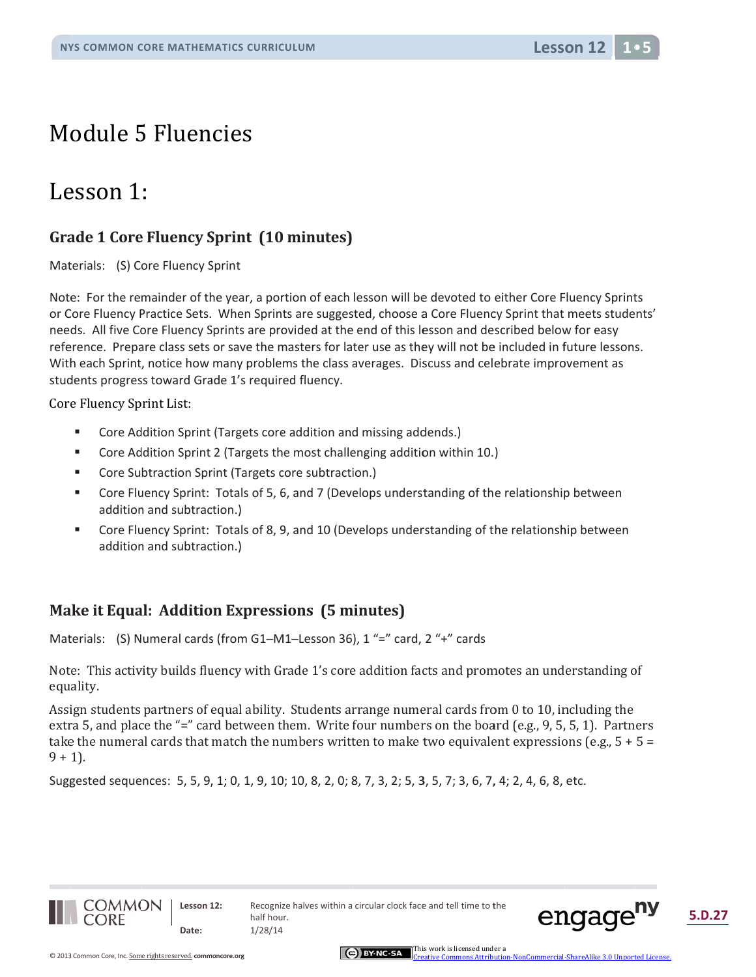## Module 5 Fluencies

## Lesson 1:

### **Grade 1 Core Fluency Sprint (10 minutes)**

Materials: (S) Core Fluency Sprint

Note: For the remainder of the year, a portion of each lesson will be devoted to either Core Fluency Sprints or Core Fluency Practice Sets. When Sprints are suggested, choose a Core Fluency Sprint that meets students' needs. All five Core Fluency Sprints are provided at the end of this lesson and described below for easy reference. Prepare class sets or save the masters for later use as they will not be included in future lessons. With each Sprint, notice how many problems the class averages. Discuss and celebrate improvement as students progress toward Grade 1's required fluency.

Core Fluency Sprint List:

- $\blacksquare$ Core Addition Sprint (Targets core addition and missing addends.)
- $\blacksquare$ Core Addition Sprint 2 (Targets the most challenging addition within 10.)
- $\blacksquare$ Core Subtraction Sprint (Targets core subtraction.)
- ٠ Core Fluency Sprint: Totals of 5, 6, and 7 (Develops understanding of the relationship between addition and subtraction.)
- $\blacksquare$ Core Fluency Sprint: Totals of 8, 9, and 10 (Develops understanding of the relationship between addition and subtraction.)

#### Make it Equal: Addition Expressions (5 minutes)

Materials: (S) Numeral cards (from G1-M1-Lesson 36), 1 "=" card, 2 "+" cards

Note: This activity builds fluency with Grade 1's core addition facts and promotes an understanding of equality.

Assign students partners of equal ability. Students arrange numeral cards from 0 to 10, including the extra 5, and place the "=" card between them. Write four numbers on the board (e.g., 9, 5, 5, 1). Partners take the numeral cards that match the numbers written to make two equivalent expressions (e.g.,  $5 + 5 =$  $9 + 1$ ).

Suggested sequences: 5, 5, 9, 1; 0, 1, 9, 10; 10, 8, 2, 0; 8, 7, 3, 2; 5, 3, 5, 7; 3, 6, 7, 4; 2, 4, 6, 8, etc.



Lesson 12: Date:



mercial-ShareAlike 3.0 Unnorted Lice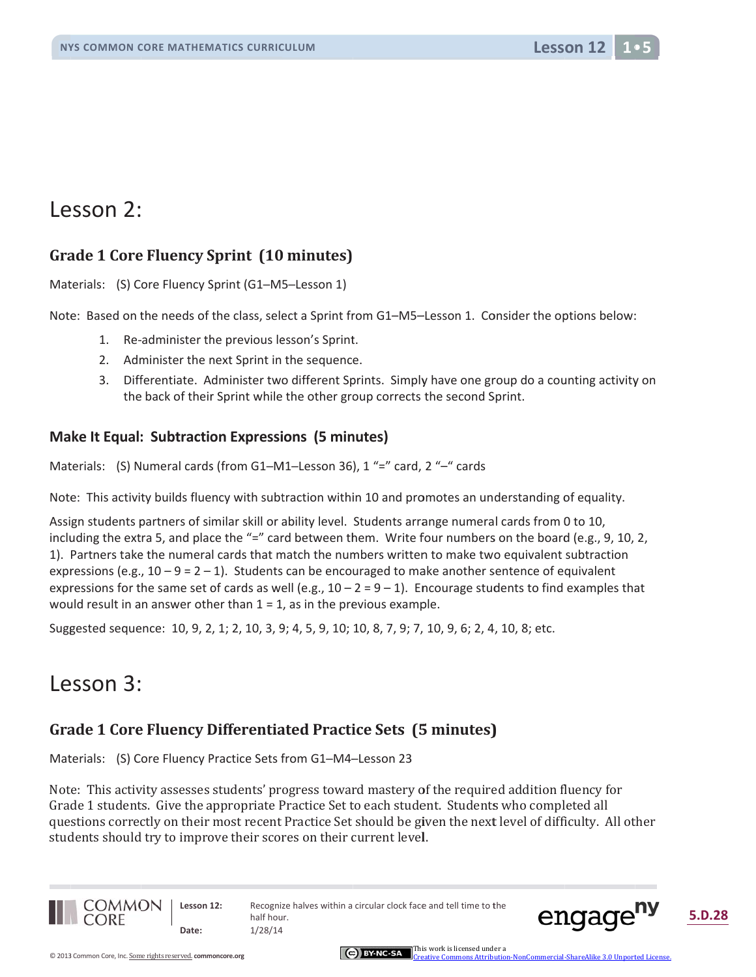## Lesson 2:

#### **Grade 1 Core Fluency Sprint (10 minutes)**

Materials: (S) Core Fluency Sprint (G1-M5-Lesson 1)

Note: Based on the needs of the class, select a Sprint from G1-M5-Lesson 1. Consider the options below:

- 1. Re-administer the previous lesson's Sprint.
- 2. Administer the next Sprint in the sequence.
- 3. Differentiate. Administer two different Sprints. Simply have one group do a counting activity on the back of their Sprint while the other group corrects the second Sprint.

#### Make It Equal: Subtraction Expressions (5 minutes)

Materials: (S) Numeral cards (from G1-M1-Lesson 36), 1 "=" card, 2 "-" cards

Note: This activity builds fluency with subtraction within 10 and promotes an understanding of equality.

Assign students partners of similar skill or ability level. Students arrange numeral cards from 0 to 10, including the extra 5, and place the "=" card between them. Write four numbers on the board (e.g., 9, 10, 2, 1). Partners take the numeral cards that match the numbers written to make two equivalent subtraction expressions (e.g.,  $10-9=2-1$ ). Students can be encouraged to make another sentence of equivalent expressions for the same set of cards as well (e.g.,  $10 - 2 = 9 - 1$ ). Encourage students to find examples that would result in an answer other than  $1 = 1$ , as in the previous example.

Suggested sequence: 10, 9, 2, 1; 2, 10, 3, 9; 4, 5, 9, 10; 10, 8, 7, 9; 7, 10, 9, 6; 2, 4, 10, 8; etc.

## Lesson 3:

#### Grade 1 Core Fluency Differentiated Practice Sets (5 minutes)

Materials: (S) Core Fluency Practice Sets from G1-M4-Lesson 23

Note: This activity assesses students' progress toward mastery of the required addition fluency for Grade 1 students. Give the appropriate Practice Set to each student. Students who completed all questions correctly on their most recent Practice Set should be given the next level of difficulty. All other students should try to improve their scores on their current level.



Lesson 12: Date:

Recognize halves within a circular clock face and tell time to the half hour.  $1/28/14$ 



5.D.28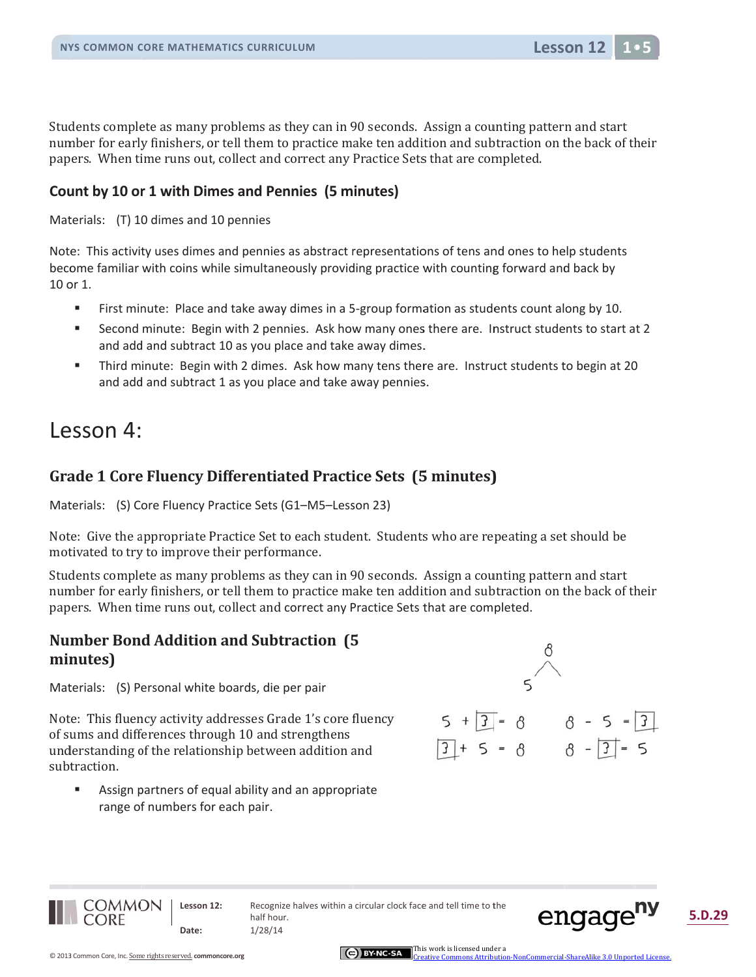Students complete as many problems as they can in 90 seconds. Assign a counting pattern and start number for early finishers, or tell them to practice make ten addition and subtraction on the back of their papers. When time runs out, collect and correct any Practice Sets that are completed.

#### Count by 10 or 1 with Dimes and Pennies (5 minutes)

Materials: (T) 10 dimes and 10 pennies

Note: This activity uses dimes and pennies as abstract representations of tens and ones to help students become familiar with coins while simultaneously providing practice with counting forward and back by 10 or 1.

- $\blacksquare$ First minute: Place and take away dimes in a 5-group formation as students count along by 10.
- $\mathbf{r}$ Second minute: Begin with 2 pennies. Ask how many ones there are. Instruct students to start at 2 and add and subtract 10 as you place and take away dimes.
- $\bar{\phantom{a}}$ Third minute: Begin with 2 dimes. Ask how many tens there are. Instruct students to begin at 20 and add and subtract 1 as you place and take away pennies.

## Lesson 4:

#### Grade 1 Core Fluency Differentiated Practice Sets (5 minutes)

Materials: (S) Core Fluency Practice Sets (G1-M5-Lesson 23)

Note: Give the appropriate Practice Set to each student. Students who are repeating a set should be motivated to try to improve their performance.

Students complete as many problems as they can in 90 seconds. Assign a counting pattern and start number for early finishers, or tell them to practice make ten addition and subtraction on the back of their papers. When time runs out, collect and correct any Practice Sets that are completed.

#### **Number Bond Addition and Subtraction (5)** minutes)

Materials: (S) Personal white boards, die per pair

Note: This fluency activity addresses Grade 1's core fluency of sums and differences through 10 and strengthens understanding of the relationship between addition and subtraction.

 $\blacksquare$ Assign partners of equal ability and an appropriate range of numbers for each pair.



Lesson 12





Lesson 12: Date:

Recognize halves within a circular clock face and tell time to the half hour.  $1/28/14$ 

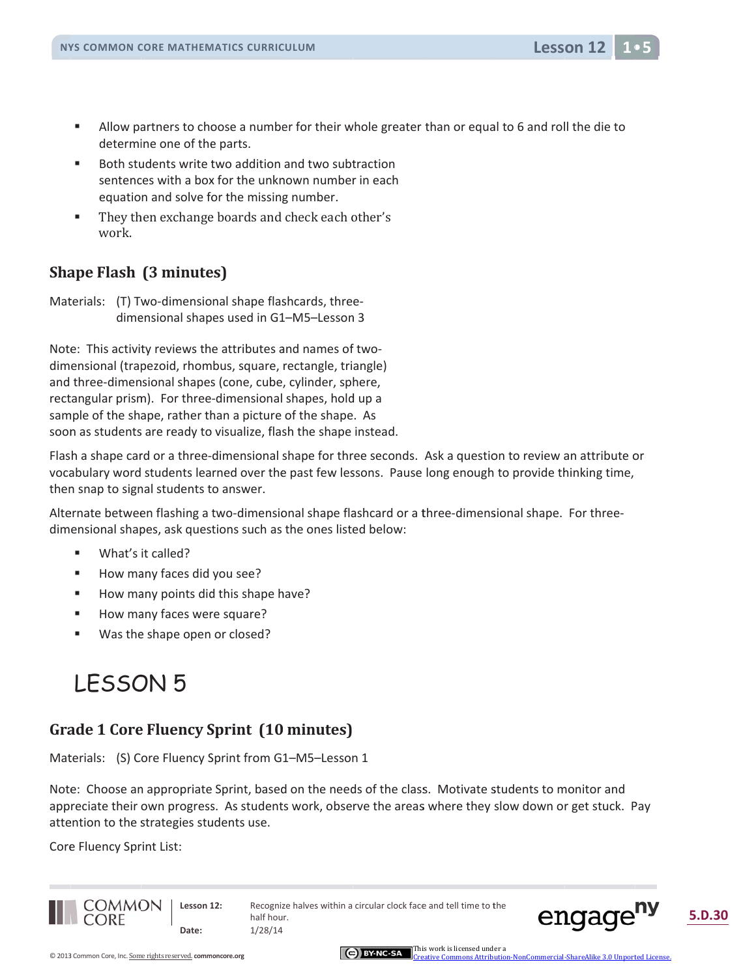- $\blacksquare$ Allow partners to choose a number for their whole greater than or equal to 6 and roll the die to determine one of the parts.
- $\blacksquare$ Both students write two addition and two subtraction sentences with a box for the unknown number in each equation and solve for the missing number.
- $\mathbf{r}$ They then exchange boards and check each other's work.

#### **Shape Flash (3 minutes)**

Materials: (T) Two-dimensional shape flashcards, threedimensional shapes used in G1-M5-Lesson 3

Note: This activity reviews the attributes and names of twodimensional (trapezoid, rhombus, square, rectangle, triangle) and three-dimensional shapes (cone, cube, cylinder, sphere, rectangular prism). For three-dimensional shapes, hold up a sample of the shape, rather than a picture of the shape. As soon as students are ready to visualize, flash the shape instead.

Flash a shape card or a three-dimensional shape for three seconds. Ask a question to review an attribute or vocabulary word students learned over the past few lessons. Pause long enough to provide thinking time, then snap to signal students to answer.

Alternate between flashing a two-dimensional shape flashcard or a three-dimensional shape. For threedimensional shapes, ask questions such as the ones listed below:

- $\blacksquare$ What's it called?
- g, How many faces did you see?
- $\blacksquare$ How many points did this shape have?
- How many faces were square? п
- $\blacksquare$ Was the shape open or closed?

## **LESSON 5**

#### **Grade 1 Core Fluency Sprint (10 minutes)**

Materials: (S) Core Fluency Sprint from G1-M5-Lesson 1

Note: Choose an appropriate Sprint, based on the needs of the class. Motivate students to monitor and appreciate their own progress. As students work, observe the areas where they slow down or get stuck. Pay attention to the strategies students use.

Core Fluency Sprint List:



Lesson 12: Date:

Recognize halves within a circular clock face and tell time to the half hour.  $1/28/14$ 



5.D.30

**Lesson 12**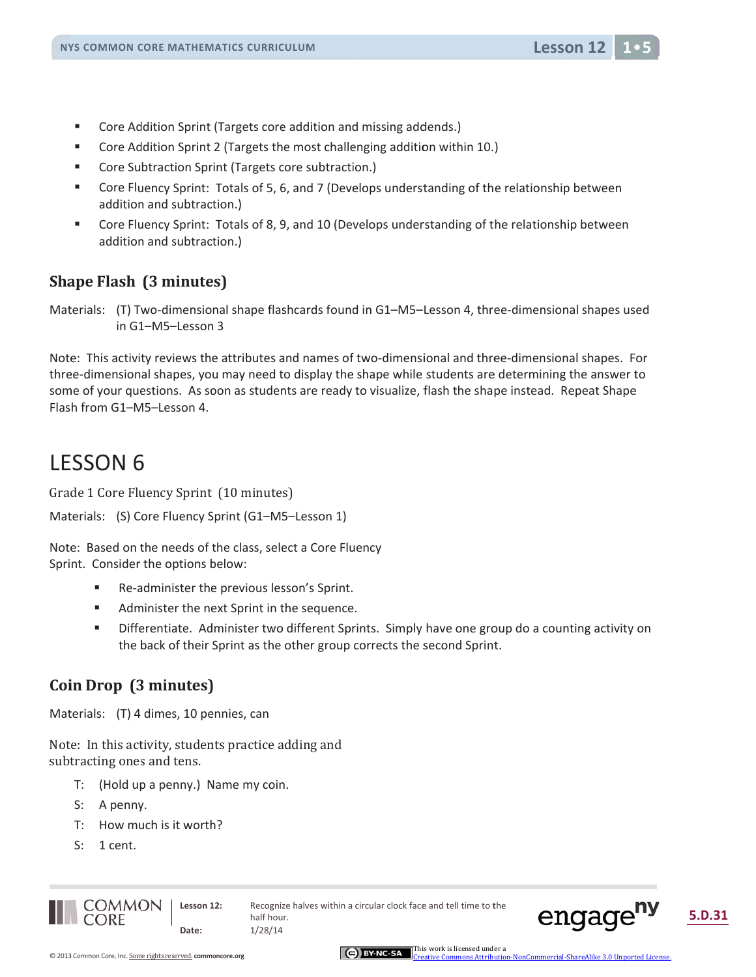- $\blacksquare$ Core Addition Sprint (Targets core addition and missing addends.)
- $\blacksquare$ Core Addition Sprint 2 (Targets the most challenging addition within 10.)
- $\blacksquare$ Core Subtraction Sprint (Targets core subtraction.)
- $\blacksquare$ Core Fluency Sprint: Totals of 5, 6, and 7 (Develops understanding of the relationship between addition and subtraction.)
- Core Fluency Sprint: Totals of 8, 9, and 10 (Develops understanding of the relationship between  $\blacksquare$ addition and subtraction.)

#### Shape Flash (3 minutes)

Materials: (T) Two-dimensional shape flashcards found in G1-M5-Lesson 4, three-dimensional shapes used in G1-M5-Lesson 3

Note: This activity reviews the attributes and names of two-dimensional and three-dimensional shapes. For three-dimensional shapes, you may need to display the shape while students are determining the answer to some of your questions. As soon as students are ready to visualize, flash the shape instead. Repeat Shape Flash from G1-M5-Lesson 4.

## **LESSON 6**

Grade 1 Core Fluency Sprint (10 minutes)

```
Materials: (S) Core Fluency Sprint (G1-M5-Lesson 1)
```
Note: Based on the needs of the class, select a Core Fluency Sprint. Consider the options below:

- $\blacksquare$ Re-administer the previous lesson's Sprint.
- $\blacksquare$ Administer the next Sprint in the sequence.
- × Differentiate. Administer two different Sprints. Simply have one group do a counting activity on the back of their Sprint as the other group corrects the second Sprint.

### Coin Drop (3 minutes)

Materials: (T) 4 dimes, 10 pennies, can

Note: In this activity, students practice adding and subtracting ones and tens.

- T: (Hold up a penny.) Name my coin.
- S: A penny.
- T: How much is it worth?
- $S: 1$  cent.



Lesson 12: Date:

Recognize halves within a circular clock face and tell time to the half hour.  $1/28/14$ 

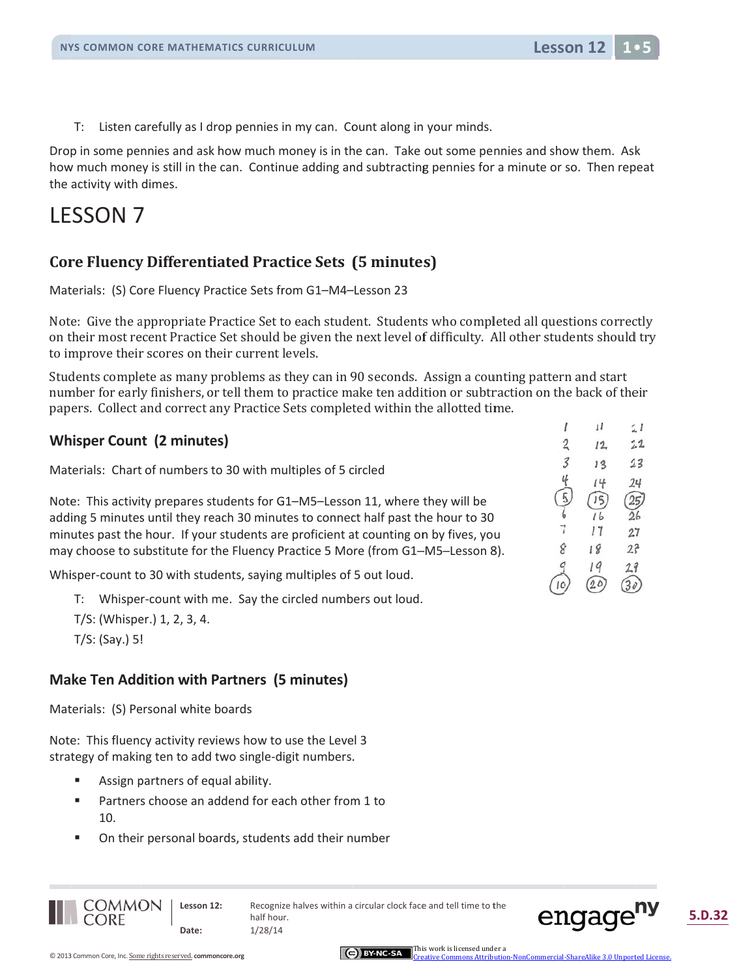$T$ : Listen carefully as I drop pennies in my can. Count along in your minds.

Drop in some pennies and ask how much money is in the can. Take out some pennies and show them. Ask how much money is still in the can. Continue adding and subtracting pennies for a minute or so. Then repeat the activity with dimes.

## **LESSON 7**

#### **Core Fluency Differentiated Practice Sets (5 minutes)**

Materials: (S) Core Fluency Practice Sets from G1-M4-Lesson 23

Note: Give the appropriate Practice Set to each student. Students who completed all questions correctly on their most recent Practice Set should be given the next level of difficulty. All other students should try to improve their scores on their current levels.

Students complete as many problems as they can in 90 seconds. Assign a counting pattern and start number for early finishers, or tell them to practice make ten addition or subtraction on the back of their papers. Collect and correct any Practice Sets completed within the allotted time.

#### **Whisper Count (2 minutes)**

Materials: Chart of numbers to 30 with multiples of 5 circled

Note: This activity prepares students for G1-M5-Lesson 11, where they will be adding 5 minutes until they reach 30 minutes to connect half past the hour to 30 minutes past the hour. If your students are proficient at counting on by fives, you may choose to substitute for the Fluency Practice 5 More (from G1-M5-Lesson 8).

Whisper-count to 30 with students, saying multiples of 5 out loud.

- T: Whisper-count with me. Say the circled numbers out loud.
- T/S: (Whisper.) 1, 2, 3, 4.
- $T/S:$  (Say.) 5!

#### **Make Ten Addition with Partners (5 minutes)**

Materials: (S) Personal white boards

Note: This fluency activity reviews how to use the Level 3 strategy of making ten to add two single-digit numbers.

- $\blacksquare$ Assign partners of equal ability.
- ă. Partners choose an addend for each other from 1 to  $10<sub>1</sub>$
- On their personal boards, students add their number



**Lesson 12** 

**COMMON CORE** 

Lesson 12: Date:

Recognize halves within a circular clock face and tell time to the half hour.  $1/28/14$ 

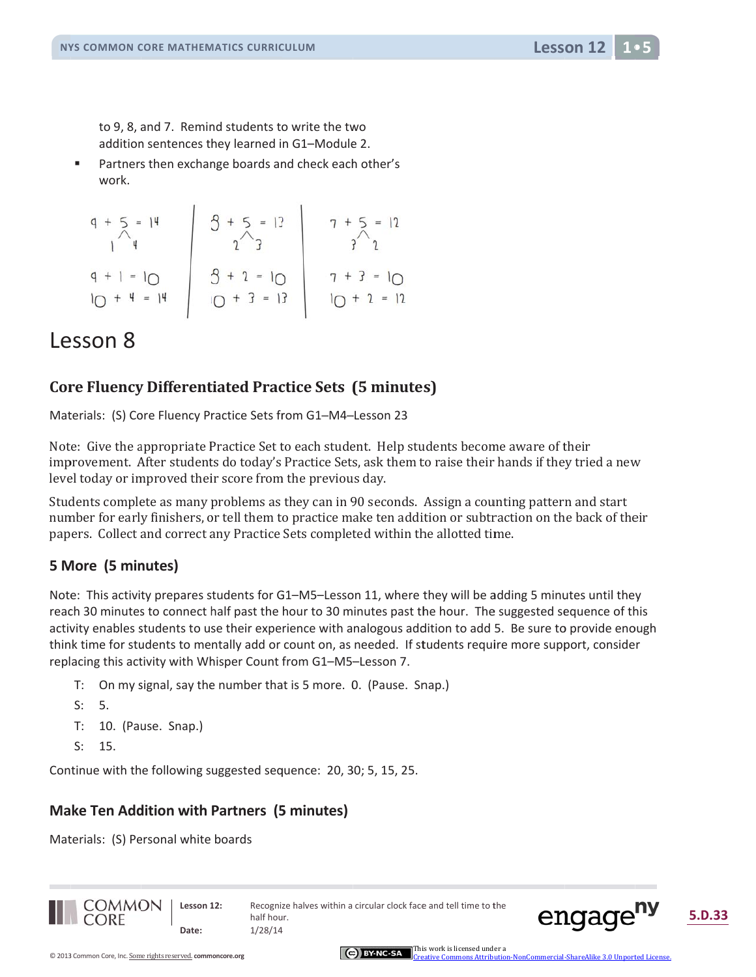to 9, 8, and 7. Remind students to write the two addition sentences they learned in G1-Module 2.

 $\bar{\phantom{a}}$ Partners then exchange boards and check each other's work.

$$
q + 5 = 14
$$
\n
$$
q + 1 = 10
$$
\n
$$
q + 1 = 14
$$
\n
$$
q + 1 = 14
$$
\n
$$
q + 1 = 14
$$
\n
$$
q + 2 = 10
$$
\n
$$
q + 3 = 13
$$
\n
$$
q + 4 = 14
$$
\n
$$
q + 1 = 10
$$
\n
$$
q + 2 = 10
$$
\n
$$
q + 2 = 12
$$
\n
$$
q + 3 = 12
$$
\n
$$
q + 4 = 14
$$

## Lesson 8

#### **Core Fluency Differentiated Practice Sets (5 minutes)**

Materials: (S) Core Fluency Practice Sets from G1-M4-Lesson 23

Note: Give the appropriate Practice Set to each student. Help students become aware of their improvement. After students do today's Practice Sets, ask them to raise their hands if they tried a new level today or improved their score from the previous day.

Students complete as many problems as they can in 90 seconds. Assign a counting pattern and start number for early finishers, or tell them to practice make ten addition or subtraction on the back of their papers. Collect and correct any Practice Sets completed within the allotted time.

#### 5 More (5 minutes)

Note: This activity prepares students for G1-M5-Lesson 11, where they will be adding 5 minutes until they reach 30 minutes to connect half past the hour to 30 minutes past the hour. The suggested sequence of this activity enables students to use their experience with analogous addition to add 5. Be sure to provide enough think time for students to mentally add or count on, as needed. If students require more support, consider replacing this activity with Whisper Count from G1-M5-Lesson 7.

- T: On my signal, say the number that is 5 more. 0. (Pause. Snap.)
- $S: 5.$
- T: 10. (Pause. Snap.)
- $\varsigma$ . 15.

Continue with the following suggested sequence: 20, 30; 5, 15, 25.

#### **Make Ten Addition with Partners (5 minutes)**

Materials: (S) Personal white boards





**Lesson 12**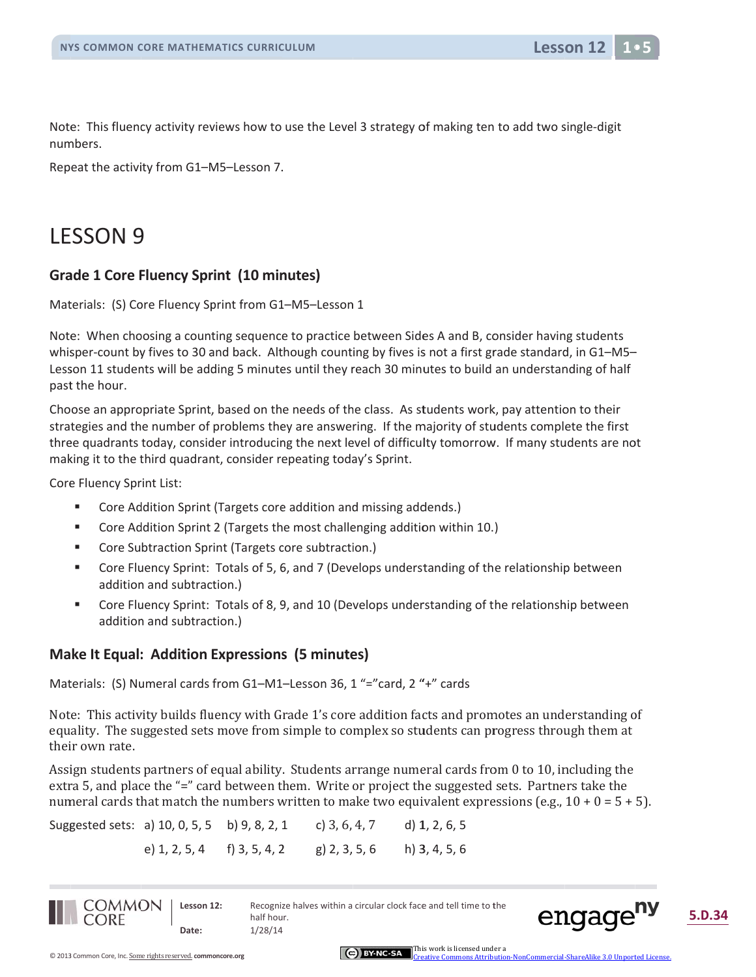

Note: This fluency activity reviews how to use the Level 3 strategy of making ten to add two single-digit numbers.

Repeat the activity from G1-M5-Lesson 7.

## **LESSON 9**

#### **Grade 1 Core Fluency Sprint (10 minutes)**

Materials: (S) Core Fluency Sprint from G1-M5-Lesson 1

Note: When choosing a counting sequence to practice between Sides A and B, consider having students whisper-count by fives to 30 and back. Although counting by fives is not a first grade standard, in G1-M5-Lesson 11 students will be adding 5 minutes until they reach 30 minutes to build an understanding of half past the hour.

Choose an appropriate Sprint, based on the needs of the class. As students work, pay attention to their strategies and the number of problems they are answering. If the majority of students complete the first three quadrants today, consider introducing the next level of difficulty tomorrow. If many students are not making it to the third quadrant, consider repeating today's Sprint.

Core Fluency Sprint List:

- $\blacksquare$ Core Addition Sprint (Targets core addition and missing addends.)
- $\bar{\phantom{a}}$ Core Addition Sprint 2 (Targets the most challenging addition within 10.)
- Core Subtraction Sprint (Targets core subtraction.)
- $\blacksquare$ Core Fluency Sprint: Totals of 5, 6, and 7 (Develops understanding of the relationship between addition and subtraction.)
- $\blacksquare$ Core Fluency Sprint: Totals of 8, 9, and 10 (Develops understanding of the relationship between addition and subtraction.)

#### **Make It Equal: Addition Expressions (5 minutes)**

Materials: (S) Numeral cards from G1-M1-Lesson 36, 1 "="card, 2 "+" cards

Note: This activity builds fluency with Grade 1's core addition facts and promotes an understanding of equality. The suggested sets move from simple to complex so students can progress through them at their own rate.

Assign students partners of equal ability. Students arrange numeral cards from 0 to 10, including the extra 5, and place the "=" card between them. Write or project the suggested sets. Partners take the numeral cards that match the numbers written to make two equivalent expressions (e.g.,  $10 + 0 = 5 + 5$ ).

Suggested sets: a) 10, 0, 5, 5 b) 9, 8, 2, 1 c) 3, 6, 4, 7 d)  $1, 2, 6, 5$ e) 1, 2, 5, 4 f) 3, 5, 4, 2  $g$ ) 2, 3, 5, 6  $h)$  3, 4, 5, 6



Lesson 12: Date:

Recognize halves within a circular clock face and tell time to the half hour.  $1/28/14$ 

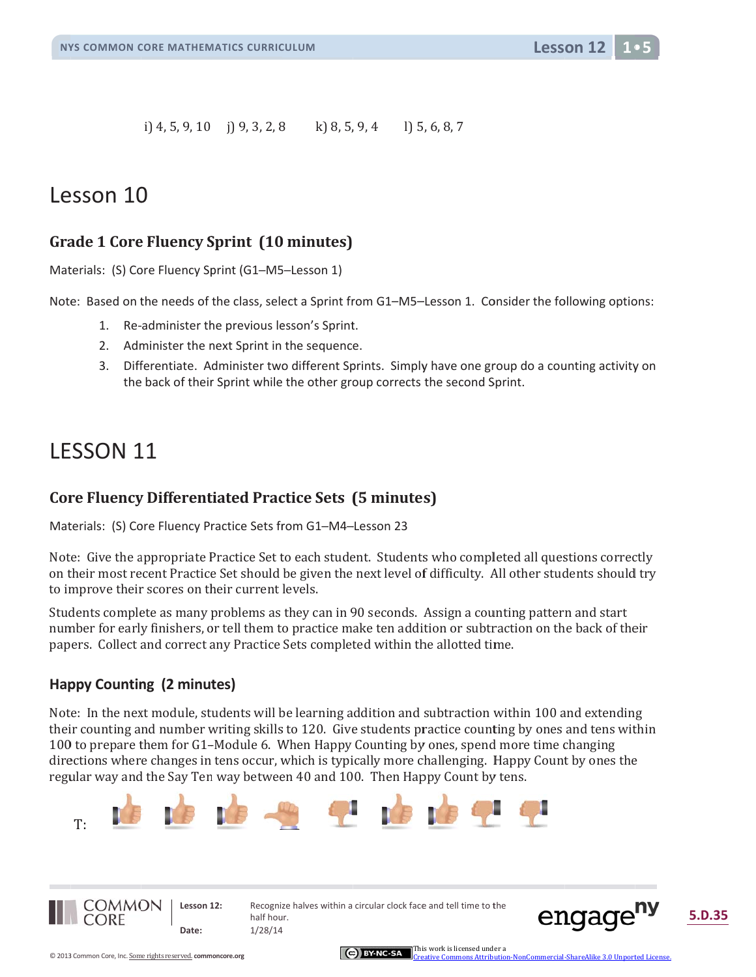**Lesson 12** 

 $1) 5, 6, 8, 7$ i) 4, 5, 9, 10 i) 9, 3, 2, 8 k) 8, 5, 9, 4

## Lesson 10

#### **Grade 1 Core Fluency Sprint (10 minutes)**

Materials: (S) Core Fluency Sprint (G1-M5-Lesson 1)

Note: Based on the needs of the class, select a Sprint from G1–M5–Lesson 1. Consider the following options:

- 1. Re-administer the previous lesson's Sprint.
- 2. Administer the next Sprint in the sequence.
- 3. Differentiate. Administer two different Sprints. Simply have one group do a counting activity on the back of their Sprint while the other group corrects the second Sprint.

## **LESSON 11**

#### **Core Fluency Differentiated Practice Sets (5 minutes)**

Materials: (S) Core Fluency Practice Sets from G1-M4-Lesson 23

Note: Give the appropriate Practice Set to each student. Students who completed all questions correctly on their most recent Practice Set should be given the next level of difficulty. All other students should try to improve their scores on their current levels.

Students complete as many problems as they can in 90 seconds. Assign a counting pattern and start number for early finishers, or tell them to practice make ten addition or subtraction on the back of their papers. Collect and correct any Practice Sets completed within the allotted time.

#### **Happy Counting (2 minutes)**

Note: In the next module, students will be learning addition and subtraction within 100 and extending their counting and number writing skills to 120. Give students practice counting by ones and tens within 100 to prepare them for G1–Module 6. When Happy Counting by ones, spend more time changing directions where changes in tens occur, which is typically more challenging. Happy Count by ones the regular way and the Say Ten way between 40 and 100. Then Happy Count by tens.





Recognize halves within a circular clock face and tell time to the half hour.  $1/28/14$ 



nCommercial-ShareAlike 3.0 Unnorted Licer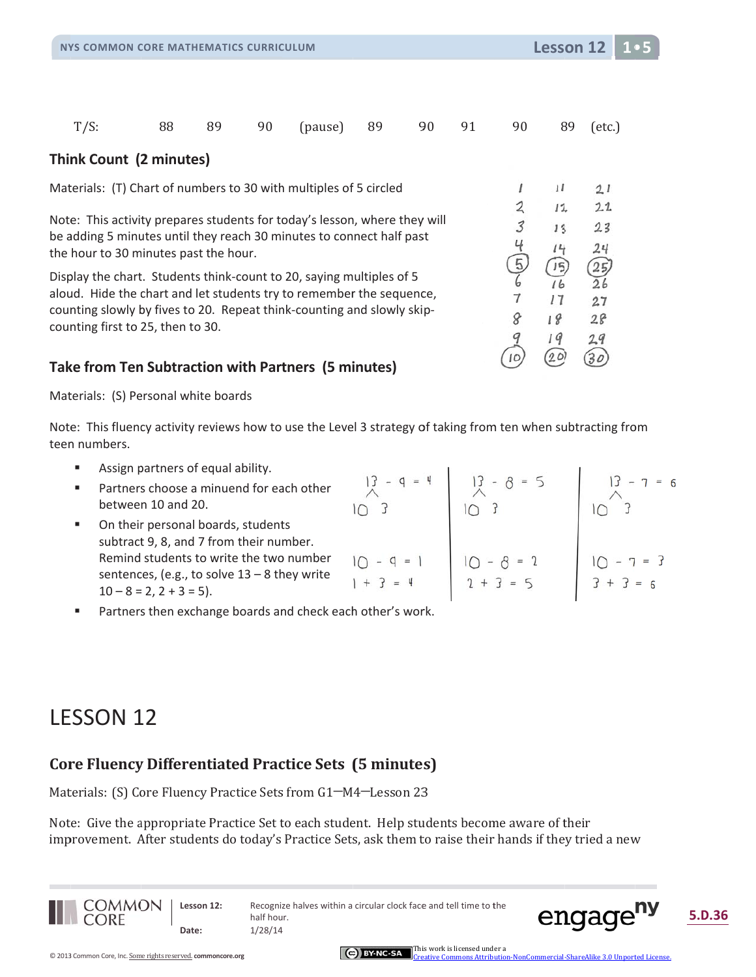Lesson 12

 $\mathbf{L}$ 

| $T/S$ :                                                                                                       | 88 | 89 | 90 | (pause) | 89 | 90 | 91 | 90 | 89  | $(\text{etc.})$  |
|---------------------------------------------------------------------------------------------------------------|----|----|----|---------|----|----|----|----|-----|------------------|
| Think Count (2 minutes)                                                                                       |    |    |    |         |    |    |    |    |     |                  |
| Materials: (T) Chart of numbers to 30 with multiples of 5 circled                                             |    |    |    |         |    |    |    |    | 11  | 21               |
|                                                                                                               |    |    |    |         |    |    |    |    | 12, | 2.1              |
| Note: This activity prepares students for today's lesson, where they will                                     |    |    |    |         |    |    |    | 3  | 13  | 23               |
| be adding 5 minutes until they reach 30 minutes to connect half past<br>the hour to 30 minutes past the hour. |    |    |    |         |    |    |    |    | 14  | 24               |
| Display the chart. Students think-count to 20, saying multiples of 5                                          |    |    |    |         |    |    |    |    | 15  | 25)              |
| aloud. Hide the chart and let students try to remember the sequence,                                          |    |    |    |         |    |    |    |    | 16  | $\widetilde{26}$ |
| counting slowly by fives to 20. Repeat think-counting and slowly skip-                                        |    |    |    |         |    |    |    |    | 17  | 27               |
| counting first to 25, then to 30.                                                                             |    |    |    |         |    |    |    |    | 18  | 28               |
|                                                                                                               |    |    |    |         |    |    |    |    | 1 G | 29               |
| <b>Take from Ten Subtraction with Partners (5 minutes)</b>                                                    |    |    |    |         |    |    |    | 10 | 20  |                  |

Materials: (S) Personal white boards

Note: This fluency activity reviews how to use the Level 3 strategy of taking from ten when subtracting from teen numbers.

Assign partners of equal ability.  $\blacksquare$ 

| ٠ | Partners choose a minuend for each other<br>between 10 and 20.                                                         | $=$                         | $-8 = 5$                    | $7 = 6$                 |
|---|------------------------------------------------------------------------------------------------------------------------|-----------------------------|-----------------------------|-------------------------|
| ٠ | On their personal boards, students<br>subtract 9, 8, and 7 from their number.                                          |                             |                             |                         |
|   | Remind students to write the two number<br>sentences, (e.g., to solve $13 - 8$ they write<br>$10 - 8 = 2, 2 + 3 = 5$ . | $10 - 9 = 1$<br>$+$ $? = 4$ | $10 - 8 = 2$<br>$2 + 3 = 5$ | $-7 = 3$<br>$3 + 3 = 6$ |
|   |                                                                                                                        |                             |                             |                         |

 $\sim$  10

Partners then exchange boards and check each other's work. ٠

## **LESSON 12**

#### **Core Fluency Differentiated Practice Sets (5 minutes)**

Materials: (S) Core Fluency Practice Sets from G1-M4-Lesson 23

Note: Give the appropriate Practice Set to each student. Help students become aware of their improvement. After students do today's Practice Sets, ask them to raise their hands if they tried a new



Lesson 12: Date:

Recognize halves within a circular clock face and tell time to the half hour.  $1/28/14$ 



5.D.36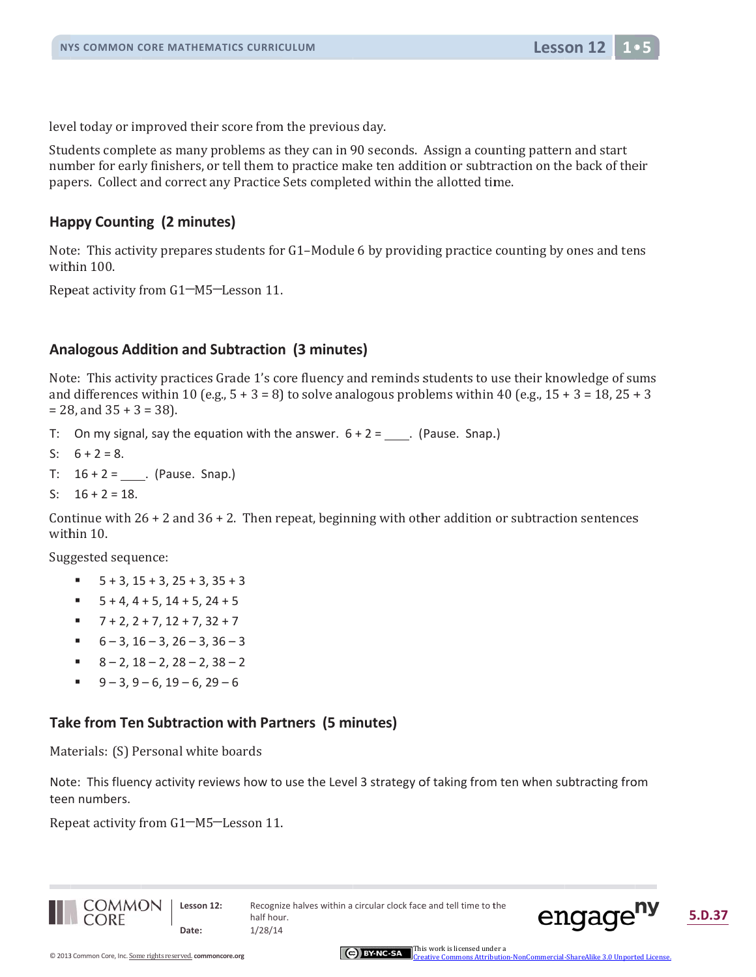

level today or improved their score from the previous day.

Students complete as many problems as they can in 90 seconds. Assign a counting pattern and start number for early finishers, or tell them to practice make ten addition or subtraction on the back of their papers. Collect and correct any Practice Sets completed within the allotted time.

#### **Happy Counting (2 minutes)**

Note: This activity prepares students for G1-Module 6 by providing practice counting by ones and tens within 100.

Repeat activity from G1-M5-Lesson 11.

#### **Analogous Addition and Subtraction (3 minutes)**

Note: This activity practices Grade 1's core fluency and reminds students to use their knowledge of sums and differences within 10 (e.g.,  $5 + 3 = 8$ ) to solve analogous problems within 40 (e.g.,  $15 + 3 = 18$ ,  $25 + 3$ )  $= 28$ , and  $35 + 3 = 38$ ).

- T: On my signal, say the equation with the answer.  $6 + 2 =$  \_\_\_\_. (Pause. Snap.)
- S:  $6 + 2 = 8$ .
- T:  $16 + 2 =$  (Pause. Snap.)
- S:  $16 + 2 = 18$ .

Continue with  $26 + 2$  and  $36 + 2$ . Then repeat, beginning with other addition or subtraction sentences within 10.

Suggested sequence:

- $\blacksquare$  $5 + 3$ ,  $15 + 3$ ,  $25 + 3$ ,  $35 + 3$
- $5 + 4$ ,  $4 + 5$ ,  $14 + 5$ ,  $24 + 5$  $\mathbf{u}$
- $7 + 2$ ,  $2 + 7$ ,  $12 + 7$ ,  $32 + 7$  $\mathbf{u}$  .
- $6 3$ ,  $16 3$ ,  $26 3$ ,  $36 3$
- $8 2$ ,  $18 2$ ,  $28 2$ ,  $38 2$
- $9 3$ ,  $9 6$ ,  $19 6$ ,  $29 6$  $\blacksquare$

#### Take from Ten Subtraction with Partners (5 minutes)

Materials: (S) Personal white boards

Note: This fluency activity reviews how to use the Level 3 strategy of taking from ten when subtracting from teen numbers.

Repeat activity from G1–M5–Lesson 11.



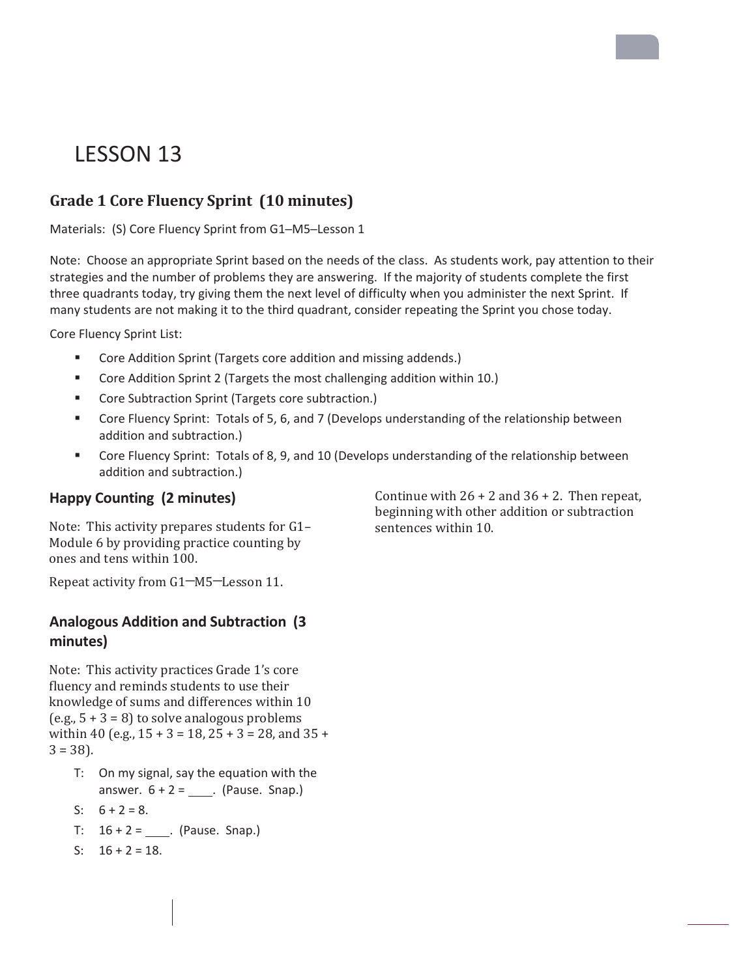## LESSON 13

### **Grade 1 Core Fluency Sprint (10 minutes)**

Materials: (S) Core Fluency Sprint from G1─M5─Lesson 1

Note: Choose an appropriate Sprint based on the needs of the class. As students work, pay attention to their strategies and the number of problems they are answering. If the majority of students complete the first three quadrants today, try giving them the next level of difficulty when you administer the next Sprint. If many students are not making it to the third quadrant, consider repeating the Sprint you chose today.

Core Fluency Sprint List:

- **Core Addition Sprint (Targets core addition and missing addends.)**
- Core Addition Sprint 2 (Targets the most challenging addition within 10.)
- **Core Subtraction Sprint (Targets core subtraction.)**
- Core Fluency Sprint: Totals of 5, 6, and 7 (Develops understanding of the relationship between addition and subtraction.)
- Core Fluency Sprint: Totals of 8, 9, and 10 (Develops understanding of the relationship between addition and subtraction.)

#### **Happy Counting (2 minutes)**

Note: This activity prepares students for  $G1-$ Module 6 by providing practice counting by ones and tens within 100.

Repeat activity from G1-M5-Lesson 11.

#### **Analogous Addition and Subtraction (3 minutes)**

Note: This activity practices Grade 1's core fluency and reminds students to use their knowledge of sums and differences within 10 (e.g.,  $5 + 3 = 8$ ) to solve analogous problems within 40 (e.g.,  $15 + 3 = 18$ ,  $25 + 3 = 28$ , and  $35 +$  $3 = 38$ ).

- T: On my signal, say the equation with the answer.  $6 + 2 =$  . (Pause. Snap.)
- S:  $6 + 2 = 8$ .
- T:  $16 + 2 =$  \_\_\_. (Pause. Snap.)
- S:  $16 + 2 = 18$ .

Continue with  $26 + 2$  and  $36 + 2$ . Then repeat, beginning with other addition or subtraction sentences within 10.

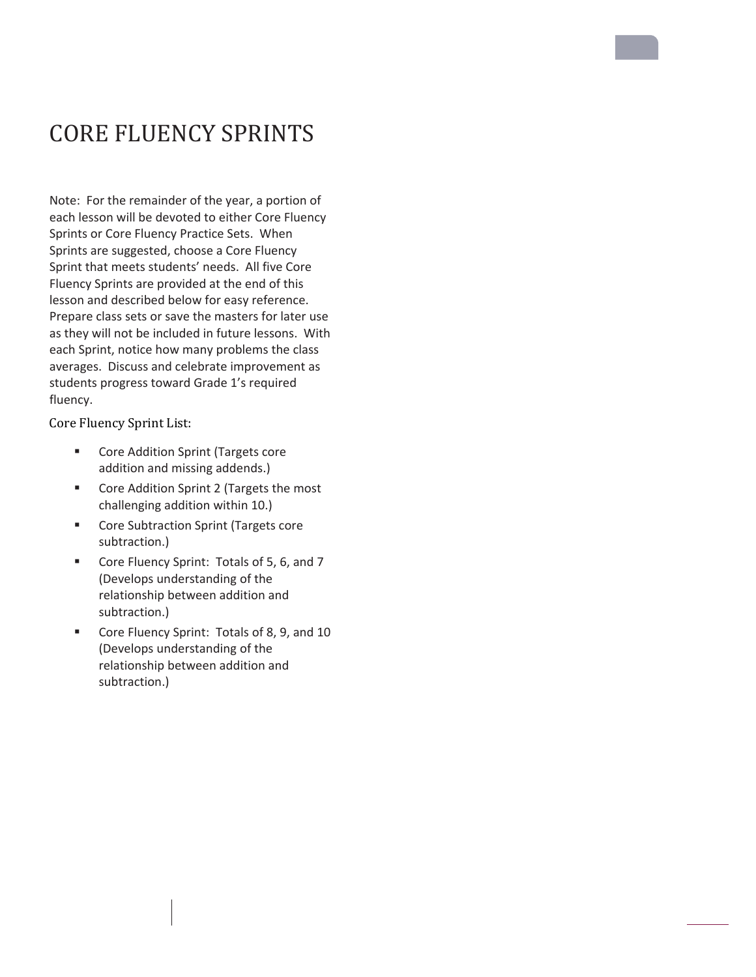## **CORE FLUENCY SPRINTS**

Note: For the remainder of the year, a portion of each lesson will be devoted to either Core Fluency Sprints or Core Fluency Practice Sets. When Sprints are suggested, choose a Core Fluency Sprint that meets students' needs. All five Core Fluency Sprints are provided at the end of this lesson and described below for easy reference. Prepare class sets or save the masters for later use as they will not be included in future lessons. With each Sprint, notice how many problems the class averages. Discuss and celebrate improvement as students progress toward Grade 1's required fluency.

Core Fluency Sprint List:

- **EXECORE Addition Sprint (Targets core** addition and missing addends.)
- **EXECORE And Core Addition Sprint 2 (Targets the most** challenging addition within 10.)
- **EXECORE Subtraction Sprint (Targets core** subtraction.)
- Core Fluency Sprint: Totals of 5, 6, and 7 (Develops understanding of the relationship between addition and subtraction.)
- Core Fluency Sprint: Totals of 8, 9, and 10 (Develops understanding of the relationship between addition and subtraction.)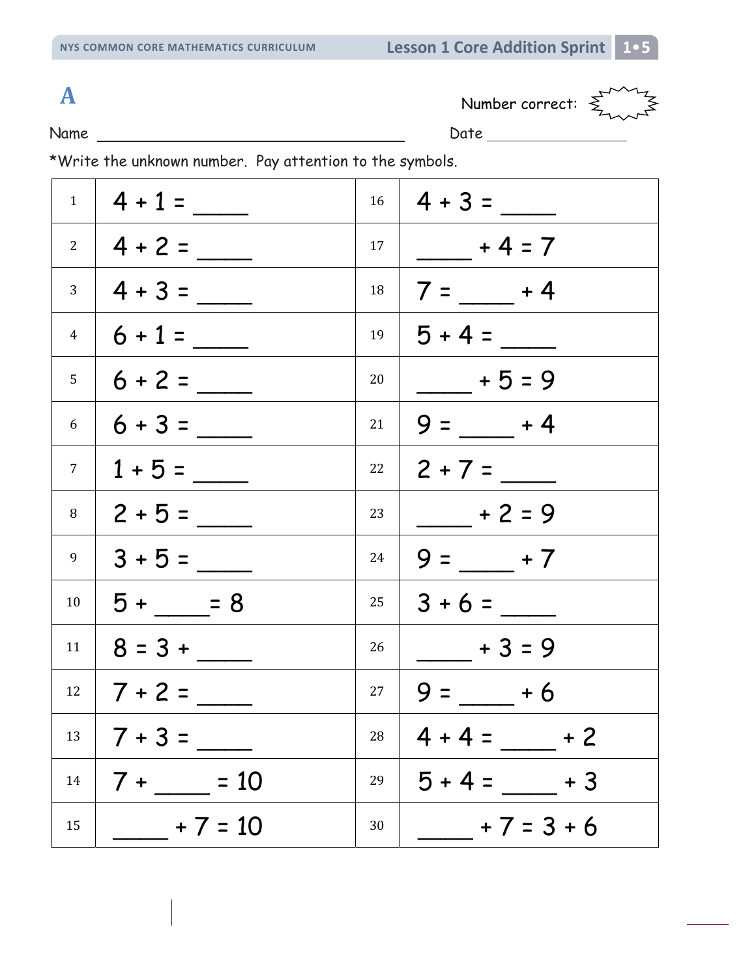Name Date



|                        | $1 \mid 4 + 1 =$  |    | $16 \mid 4 + 3 =$       |
|------------------------|-------------------|----|-------------------------|
|                        | $2 \mid 4 + 2 =$  |    | $17   \t-4 = 7$         |
| 3 <sup>7</sup>         | $4 + 3 =$         |    | $18$   7 = _____ + 4    |
|                        | $4   6 + 1 =$     |    | $19   5 + 4 =$          |
|                        | $5 \mid 6 + 2 =$  | 20 | $- + 5 = 9$             |
| $6 \quad \blacksquare$ | $6 + 3 =$         |    | $21   9 = - 4$          |
| 7 <sup>7</sup>         | $1 + 5 =$         |    | $22 \mid 2 + 7 =$       |
| 8                      | $2 + 5 =$         | 23 | $- + 2 = 9$             |
| 9                      | $3 + 5 =$         |    | $24   9 =$ $+ 7$        |
| 10                     | $5 + 58$          |    | $25 \mid 3 + 6 =$       |
| 11                     | $8 = 3 +$         | 26 | $+3=9$                  |
|                        | $12 \mid 7 + 2 =$ |    | $27   9 = +6$           |
|                        |                   |    | $28 \mid 4 + 4 =$ $+ 2$ |
| 14                     | $7 + \_ = 10$     | 29 | $5 + 4 =$ $+ 3$         |
| 15                     | $+7 = 10$         | 30 | $+7=3+6$                |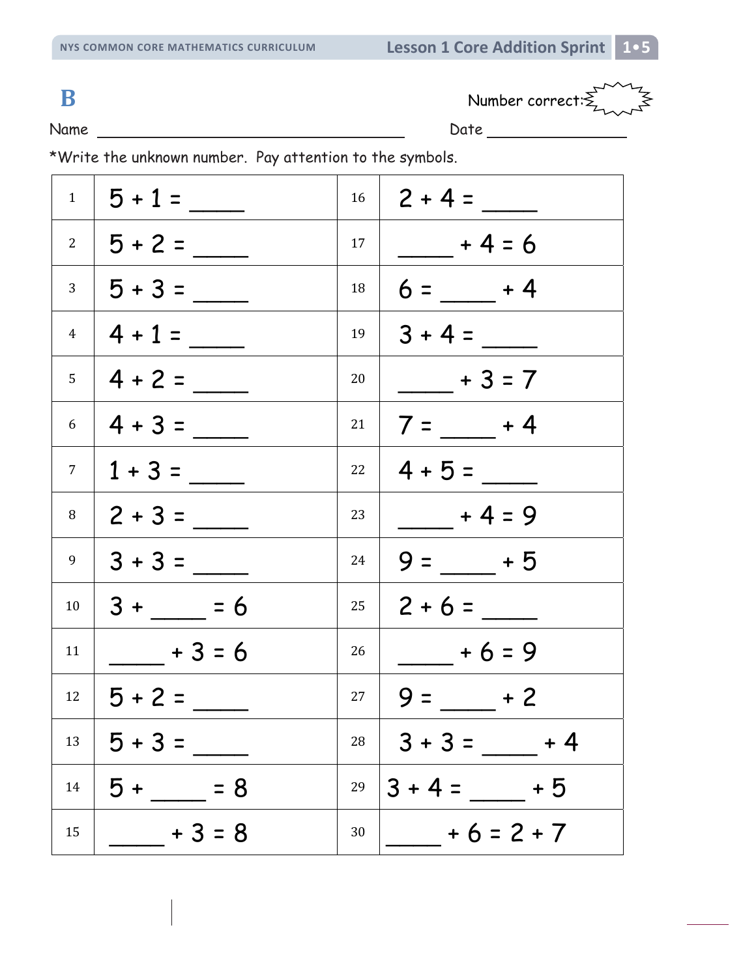**B** Number correct:  $\sum_{n=1}^{\infty} \frac{1}{n^2}$ 

Name Date

|                | $1   5 + 1 =$                      |    | $16 \mid 2 + 4 =$ |
|----------------|------------------------------------|----|-------------------|
|                | $2   5 + 2 =$                      |    | $17   + 4 = 6$    |
|                | $3   5 + 3 =$                      | 18 | $6 = +4$          |
|                | $4 \mid 4 + 1 =$                   | 19 | $ 3 + 4 =$        |
|                | $5 \mid 4 + 2 =$                   | 20 | $+3=7$            |
|                | $6 \mid 4 + 3 =$                   | 21 | $7 =$ $+4$        |
| 7 <sup>1</sup> | $1 + 3 =$                          |    | $22 \mid 4 + 5 =$ |
| 8              | $ 2 + 3 =$                         | 23 | $+4=9$            |
| 9              | $ 3 + 3 =$                         | 24 | $9 = 5$           |
| 10             | $3 + \underline{\hspace{1cm}} = 6$ | 25 | $2 + 6 =$         |
| 11             | $+3=6$                             | 26 | $+6=9$            |
|                | $12 \mid 5 + 2 =$                  | 27 | $9 = +2$          |
| 13             | $5 + 3 =$                          | 28 | $ 3 + 3 =$ + 4    |
| 14             | $5 + 5 = 8$                        | 29 | $3 + 4 = 5$       |
| 15             | $+3=8$                             | 30 | $+6=2+7$          |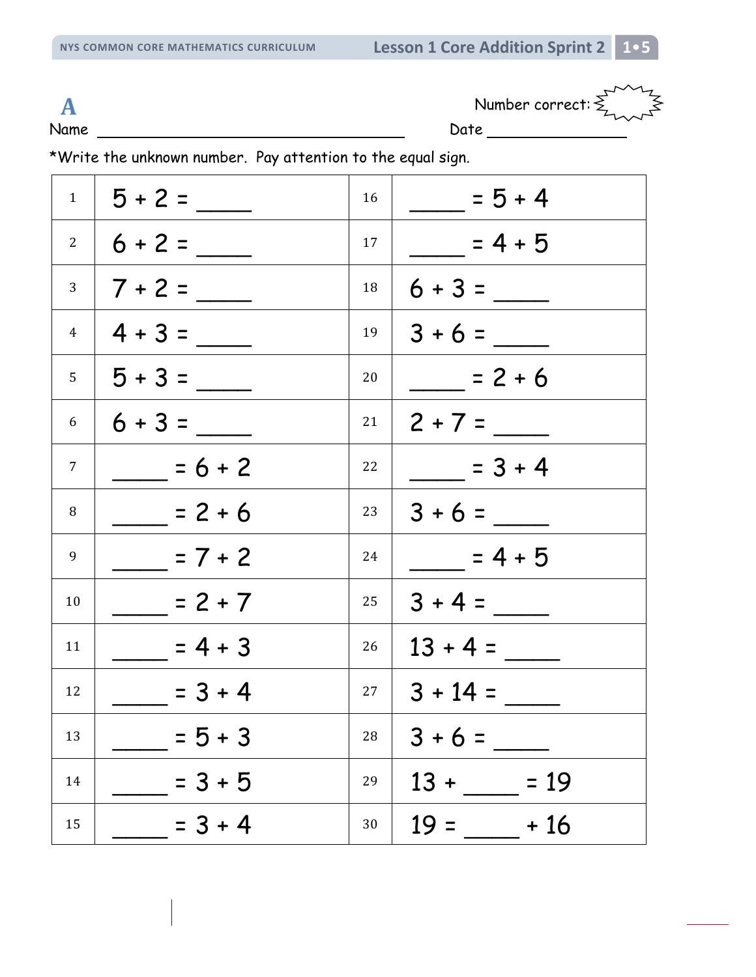Name Date Date Date

**A** Number correct:  $\sum_{k=1}^{N}$ 

\*Write the unknown number. Pay attention to the equal sign.

| $1 \quad  $    | $5 + 2 =$  | 16        | $= 5 + 4$        |
|----------------|------------|-----------|------------------|
| $2^{\circ}$    | $6 + 2 =$  | 17        | $= 4 + 5$        |
| 3 <sup>7</sup> | $7 + 2 =$  | 18        |                  |
| $\overline{4}$ | $4 + 3 =$  | 19        | $3 + 6 =$        |
| $5 -$          | $15 + 3 =$ | 20        | $= 2 + 6$        |
| 6              | $16 + 3 =$ | 21        | $2 + 7 =$        |
| $7^{\circ}$    | $= 6 + 2$  | 22        | $= 3 + 4$        |
| 8              | $= 2 + 6$  | 23        | $3 + 6 =$        |
| 9              | $= 7 + 2$  | 24        | $= 4 + 5$        |
| 10             | $= 2 + 7$  | 25        | $3 + 4 =$        |
| 11             | $= 4 + 3$  | 26        | $13 + 4 =$       |
| 12             | $= 3 + 4$  | $27 \mid$ | $3 + 14 =$       |
| 13             | $= 5 + 3$  | 28        | $3 + 6 =$        |
| 14             | $= 3 + 5$  | 29        | $13 +$<br>$= 19$ |
| 15             | $= 3 + 4$  | 30        | $19 =$<br>$+16$  |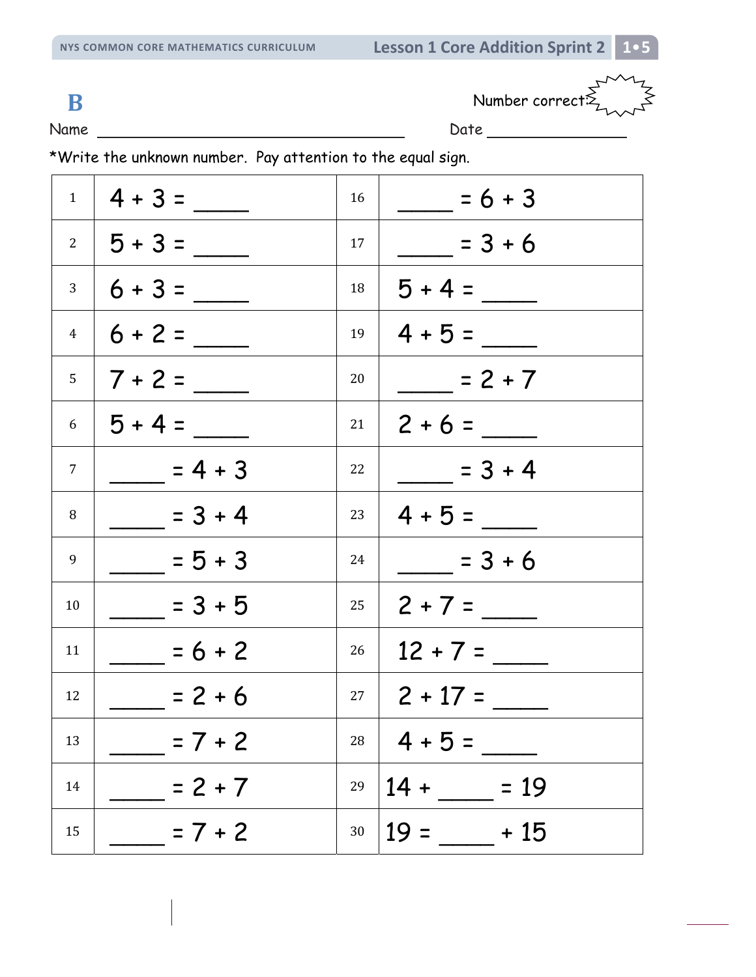**B** Number correct:

Name Date Date Date

\*Write the unknown number. Pay attention to the equal sign.

|                | $1 \mid 4 + 3 =$ | 16         | $= 6 + 3$          |
|----------------|------------------|------------|--------------------|
|                | $2   5 + 3 =$    | 17         | $= 3 + 6$          |
|                | $3 \mid 6 + 3 =$ | 18         | $5 + 4 =$          |
|                | $4   6 + 2 =$    | 19         | $4 + 5 =$          |
| 5 <sup>7</sup> | $ 7+2=$          | 20         | $= 2 + 7$          |
| 6              | $15 + 4 =$       | 21         | $2 + 6 =$          |
| 7              | $= 4 + 3$        | 22         | $=3+4$             |
| 8              | $= 3 + 4$        | 23         | $4 + 5 =$          |
| 9              | $= 5 + 3$        | 24         | $=3+6$             |
| 10             | $= 3 + 5$        | 25         |                    |
| 11             | $= 6 + 2$        | 26         | $12 + 7 =$         |
| 12             | $= 2 + 6$        |            | $27 \mid 2 + 17 =$ |
| 13             | $= 7 + 2$        | ${\bf 28}$ | $4 + 5 =$          |
| 14             | $= 2 + 7$        | 29         | $14 +$<br>$= 19$   |
| 15             | $= 7 + 2$        | $30\,$     | $19 =$<br>$+15$    |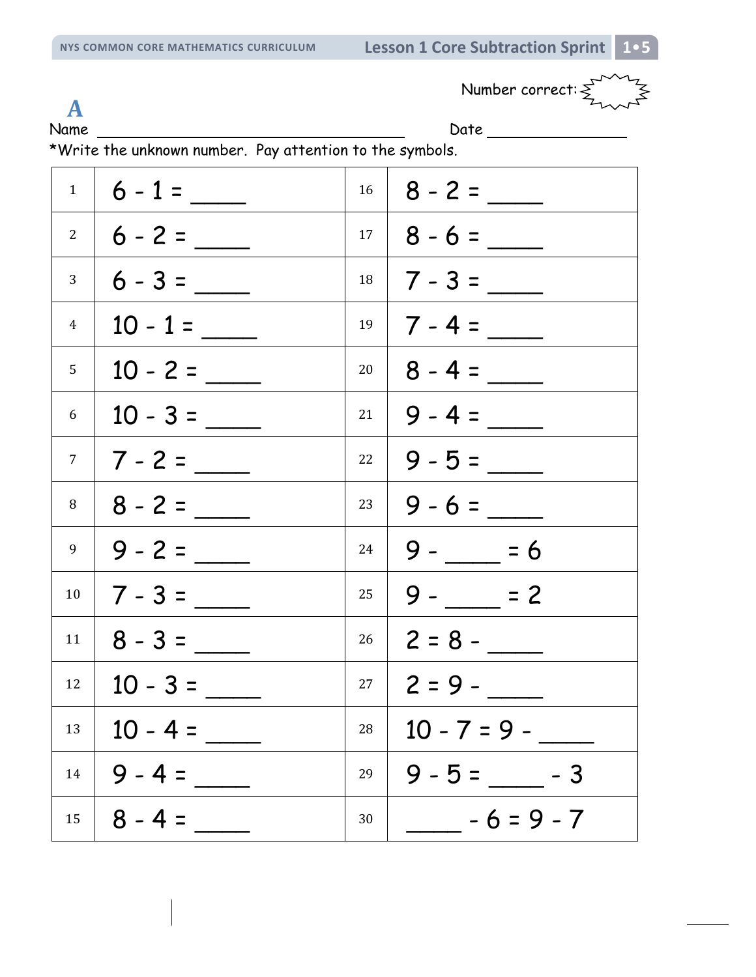Number correct:  $\sum_{n=-\infty}^{\infty}$ 

**A**

Name Date

| $\mathbf{1}$    | $6 - 1 =$        | 16 |                   |
|-----------------|------------------|----|-------------------|
|                 | $2 \mid 6 - 2 =$ |    | $17 \mid 8 - 6 =$ |
| 3               | $6 - 3 =$        |    |                   |
| $\overline{4}$  | $10 - 1 =$       |    | $19$   7 - 4 =    |
| 5               | $10 - 2 =$       |    | $20   8 - 4 =$    |
| 6               |                  |    | $21   9 - 4 =$    |
| $7\overline{ }$ | $ 7 - 2 =$       | 22 |                   |
| 8               | $8 - 2 =$        |    | $23   9 - 6 =$    |
| 9               | $9 - 2 =$        | 24 | $9 - 56$          |
| 10              |                  | 25 | $9 - 2$           |
| 11              | $8 - 3 =$        | 26 | $ 2 = 8 -$        |
| 12              | $10 - 3 =$       |    | $27 \mid 2 = 9 -$ |
| 13              | $10 - 4 =$       | 28 | $10 - 7 = 9 -$    |
| 14              | $9 - 4 =$        | 29 | $9 - 5 = -3$      |
| 15              | $8 - 4 =$        | 30 | $-6=9-7$          |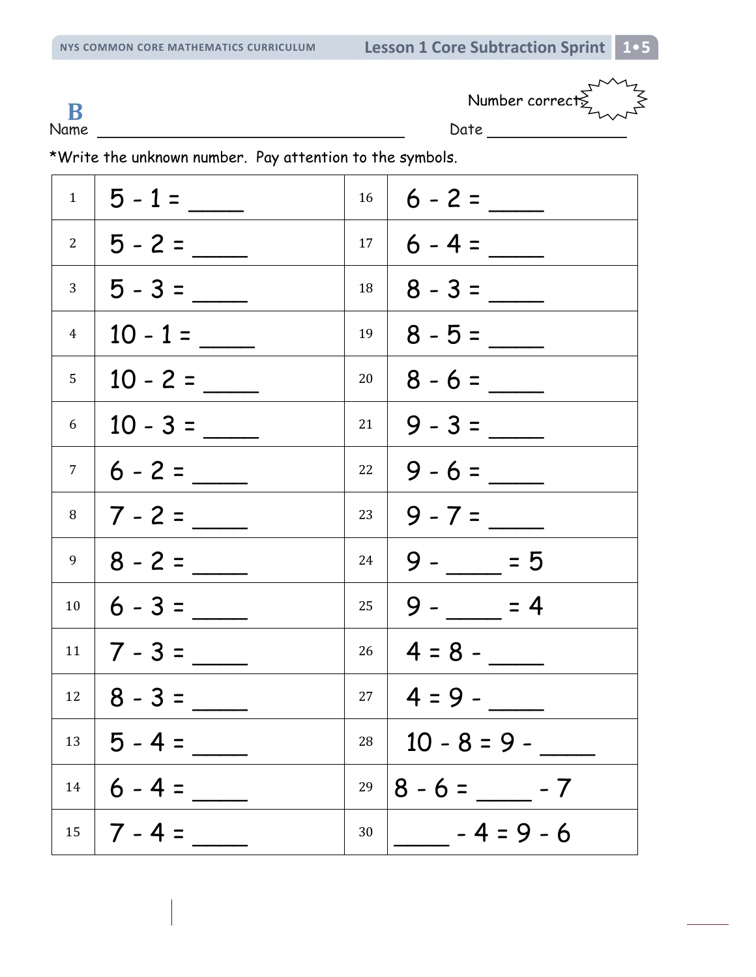Number correct: **B**

Name Date

|                 | $1 \mid 5 - 1 =$  | 16 |                        |
|-----------------|-------------------|----|------------------------|
|                 | $2   5 - 2 =$     |    | $17 \mid 6 - 4 =$      |
|                 |                   | 18 |                        |
| 4 <sup>1</sup>  | $10 - 1 =$        |    | $19 \mid 8 - 5 =$      |
| 5               |                   | 20 |                        |
|                 | $6 \mid 10 - 3 =$ | 21 |                        |
| $7\overline{ }$ |                   |    | $22 \mid 9 - 6 =$      |
| 8               |                   |    | $23   9 - 7 =$         |
| 9               |                   | 24 | $ 9 - 5 $              |
| 10              |                   |    | $25 \mid 9 - \_\_ = 4$ |
|                 | $11 \mid 7 - 3 =$ |    | $26 \mid 4 = 8 -$      |
|                 | $12 \mid 8 - 3 =$ |    | $27 \mid 4 = 9 -$      |
| 13              | $5 - 4 =$         | 28 | $10 - 8 = 9 -$         |
| 14              | $6 - 4 =$         | 29 | $8 - 6 =$ - $- 7$      |
| 15              | $7 - 4 =$         | 30 | $-4=9-6$               |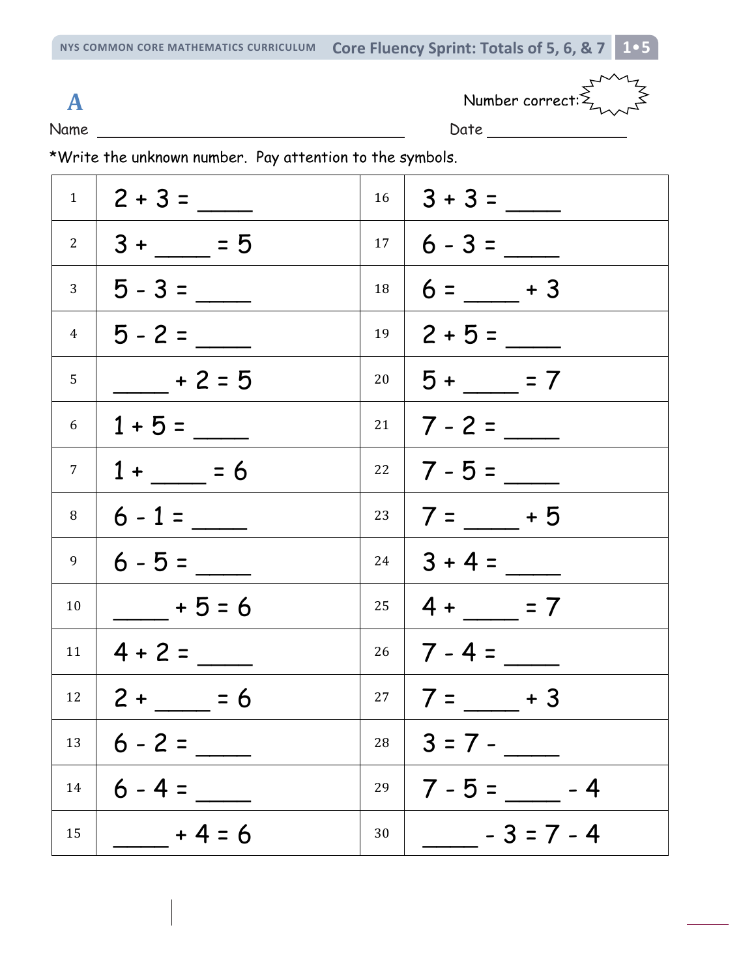**NYS COMMON CORE MATHEMATICS CURRICULUM Core Fluency Sprint: Totals of 5, 6, & 7 1**•**5**

Name Date Date Date

A Number correct:  $\sum_{n=0}^{\infty} \frac{1}{n^2}$ 

|                | $1 \mid 2 + 3 =$         |    | $16 \mid 3 + 3 =$              |
|----------------|--------------------------|----|--------------------------------|
|                | $2 \mid 3 + \_\_\_\ = 5$ |    | $17 \mid 6 - 3 =$              |
|                | $3 \mid 5 - 3 =$         |    | $18 \mid 6 =$ + 3              |
|                | $4$   5 - 2 = _____      |    | $19 \mid 2 + 5 =$              |
| 5 <sup>1</sup> | $\frac{1}{2}$ + 2 = 5    |    | $20 \mid 5 + \_\_ = 7$         |
|                | $6 \mid 1 + 5 =$         |    | $21 \mid 7 - 2 =$              |
|                | $7 \mid 1 + \_ = 6$      |    |                                |
| 8              | $6 - 1 =$                |    | $23 \mid 7 = \_\_ + 5$         |
| 9              | $6 - 5 =$                |    | $24 \mid 3 + 4 =$              |
| 10             | $+5=6$                   |    | $25 \mid 4 + \_\_\_\_\_\_ = 7$ |
|                | $11 \mid 4 + 2 =$        |    | $26 \mid 7 - 4 =$              |
|                | $12 \mid 2 + 5 = 6$      |    | $27   7 = +3$                  |
| 13             |                          |    | $28 \mid 3 = 7 -$              |
| 14             | $6 - 4 =$                | 29 | $7 - 5 =$ $- - 4$              |
| 15             | $- + 4 = 6$              | 30 | $-3 = 7 - 4$                   |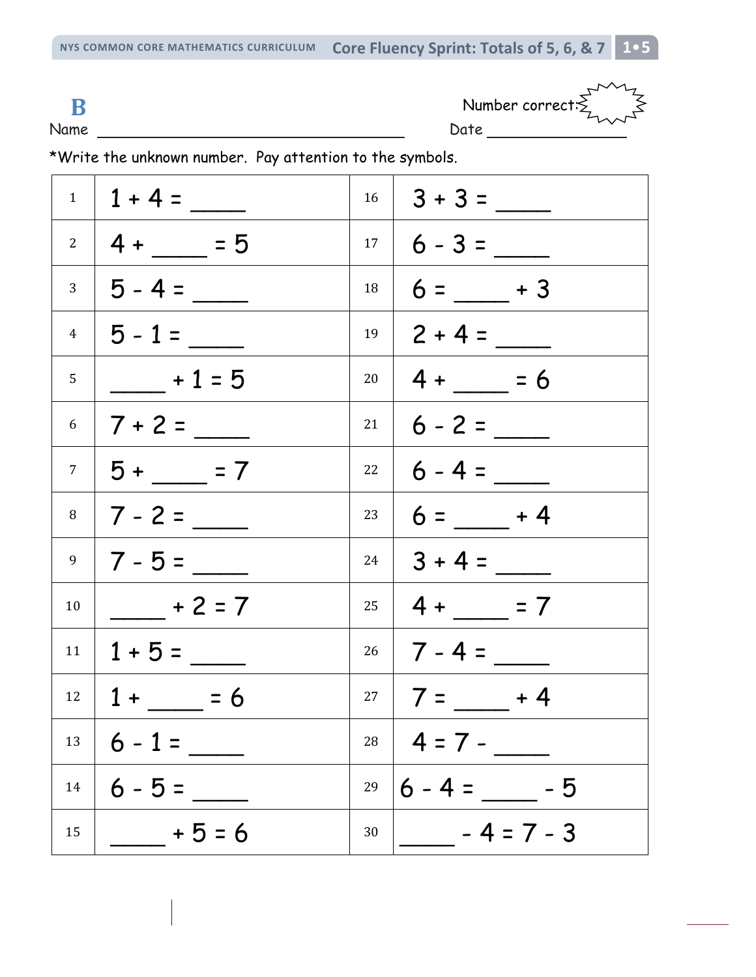**NYS COMMON CORE MATHEMATICS CURRICULUM Core Fluency Sprint: Totals of 5, 6, & 7 1**•**5**

Name Date Date Date **B** Number correct:  $\sum_{n=1}^{\infty}$ 

|    | $1 \mid 1 + 4 =$         |           | $16 \mid 3 + 3 =$              |
|----|--------------------------|-----------|--------------------------------|
|    | $2 \mid 4 + \_\_\_\ = 5$ |           | $17 \mid 6 - 3 =$              |
|    | $3 \mid 5 - 4 =$         | 18        | $6 =$ $- + 3$                  |
|    | $4$   5 - 1 =            | 19        | $2 + 4 =$                      |
| 5  | $+1=5$                   |           | $20 \mid 4 + 56$               |
|    | $6$   7 + 2 = ____       | 21        | $6 - 2 =$                      |
|    | $7   5 + 2 = 7$          |           | $22 \mid 6 - 4 =$              |
|    | $8 \mid 7 - 2 =$         | $23 \mid$ | $6 = +4$                       |
|    | $9 \mid 7 - 5 =$         |           | $24 \mid 3 + 4 =$              |
| 10 | $- + 2 = 7$              |           | $25 \mid 4 + \_\_\_\_\_\_ = 7$ |
|    | $11   1 + 5 =$           |           | $26 \mid 7 - 4 =$              |
|    | $12 \mid 1 + 56$         |           | $27   7 = +4$                  |
| 13 | $6 - 1 =$                |           | $28$   4 = 7 -                 |
| 14 | $6 - 5 =$                | 29        | $6 - 4 =$ $-5$                 |
| 15 | $+5=6$                   | 30        | $-4=7-3$                       |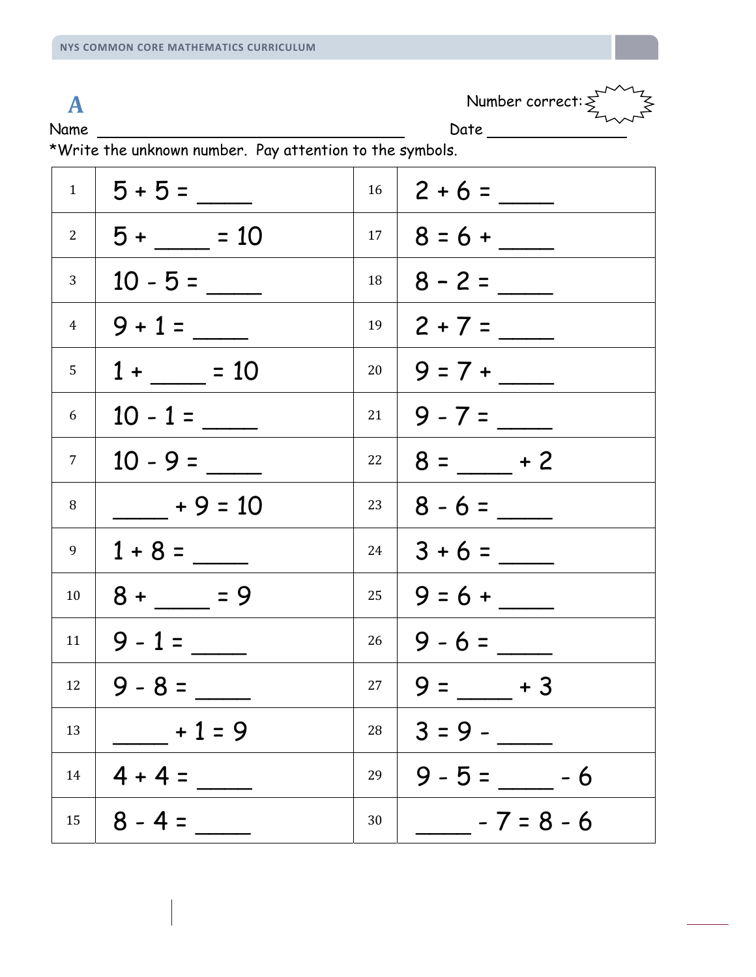**A** Number correct:  $\sum_{n=1}^{\infty}$ 

Name Date Date Development Date Date

| $1 \mid$       |                  | 16        |                          |
|----------------|------------------|-----------|--------------------------|
| $2^{\circ}$    | $5 + \_ = 10$    |           |                          |
| 3 <sup>1</sup> |                  | 18        |                          |
|                | $4 \mid 9 + 1 =$ | 19        |                          |
| 5 <sup>1</sup> | $1 + \_ = 10$    |           |                          |
| 6              | $10 - 1 =$       |           | $21   9 - 7 =$           |
| 7 <sup>1</sup> | $10 - 9 =$       |           | $22 \mid 8 = \_\_\_ + 2$ |
| 8              | $+9 = 10$        | $23 \mid$ |                          |
| 9              | $1 + 8 =$        |           | $24 \mid 3 + 6 =$        |
| 10             | $8 + \_ = 9$     |           |                          |
| 11             | $9 - 1 =$        |           | $26 \mid 9 - 6 =$        |
| 12             | $9 - 8 =$        |           | $27   9 = +3$            |
| 13             | $+1=9$           | 28        | $3 = 9 -$                |
| 14             | $4 + 4 =$        | 29        | $9 - 5 =$ -6             |
| 15             | $8 - 4 =$        | 30        | $-7=8-6$                 |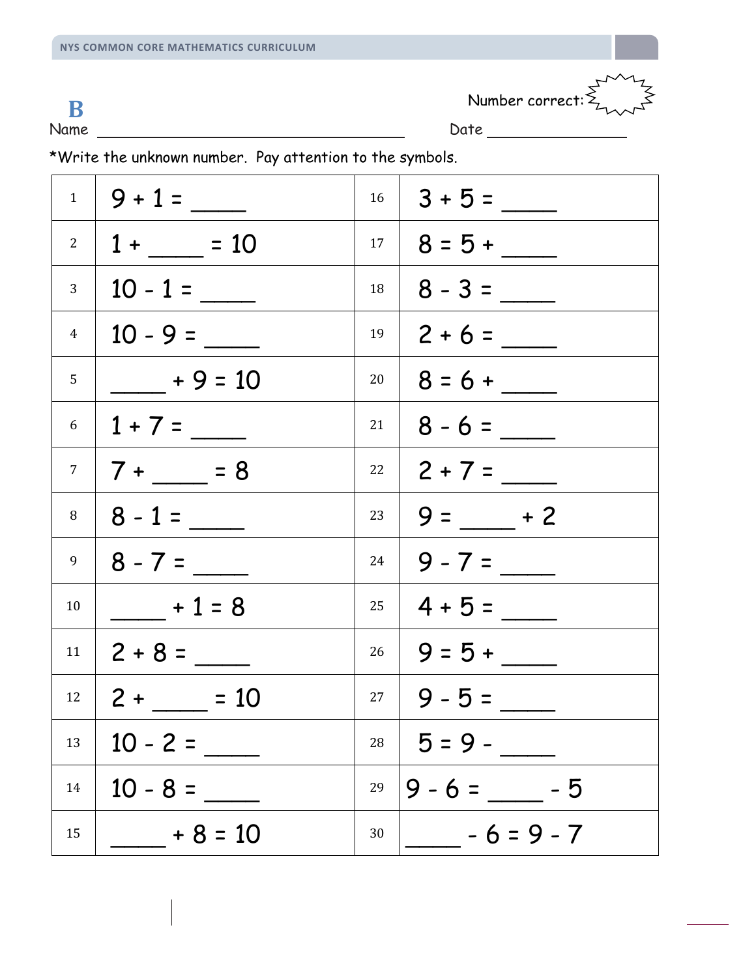$\mathbf{B}$  Number correct:  $\sum_{n=1}^{\infty}$ 

Name Date Date Date

|                | $1 \mid 9 + 1 =$            |           | $16 \mid 3 + 5 =$ |
|----------------|-----------------------------|-----------|-------------------|
| $2^{\circ}$    | $1 + \_ = 10$               |           |                   |
| 3 <sup>1</sup> | $10 - 1 =$                  | 18        |                   |
| $\overline{4}$ |                             | 19        |                   |
| 5              | $+9 = 10$                   | 20        |                   |
|                | $6 \mid 1 + 7 =$            | 21        |                   |
|                | $7 \mid 7 + \_\_\_\_\_ = 8$ | $22 \mid$ |                   |
| 8              | $8 - 1 =$                   | 23        | $9 =$ $-$ + 2     |
| 9              | $ 8 - 7 =$                  | 24        | $9 - 7 =$         |
| 10             | $+1=8$                      |           | $25 \mid 4 + 5 =$ |
|                | $11 \mid 2 + 8 =$           |           |                   |
|                | $12 \mid 2 + 10$            |           | $27   9 - 5 =$    |
| 13             | $10 - 2 =$                  |           | $28 \mid 5 = 9 -$ |
| 14             | $10 - 8 =$                  | 29        | $9 - 6 =$ - 5     |
| 15             | $+8 = 10$                   | 30        | $- - 6 = 9 - 7$   |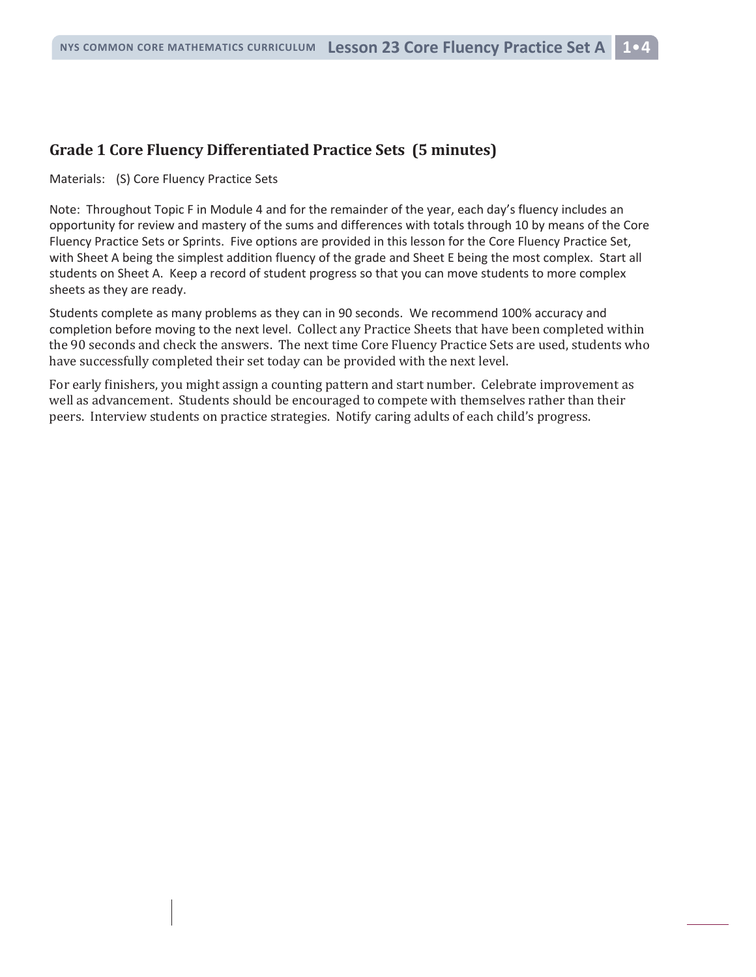#### **Grade 1 Core Fluency Differentiated Practice Sets (5 minutes)**

Materials: (S) Core Fluency Practice Sets

Note: Throughout Topic F in Module 4 and for the remainder of the year, each day's fluency includes an opportunity for review and mastery of the sums and differences with totals through 10 by means of the Core Fluency Practice Sets or Sprints. Five options are provided in this lesson for the Core Fluency Practice Set, with Sheet A being the simplest addition fluency of the grade and Sheet E being the most complex. Start all students on Sheet A. Keep a record of student progress so that you can move students to more complex sheets as they are ready.

Students complete as many problems as they can in 90 seconds. We recommend 100% accuracy and completion before moving to the next level. Collect any Practice Sheets that have been completed within the 90 seconds and check the answers. The next time Core Fluency Practice Sets are used, students who have successfully completed their set today can be provided with the next level.

For early finishers, you might assign a counting pattern and start number. Celebrate improvement as well as advancement. Students should be encouraged to compete with themselves rather than their peers. Interview students on practice strategies. Notify caring adults of each child's progress.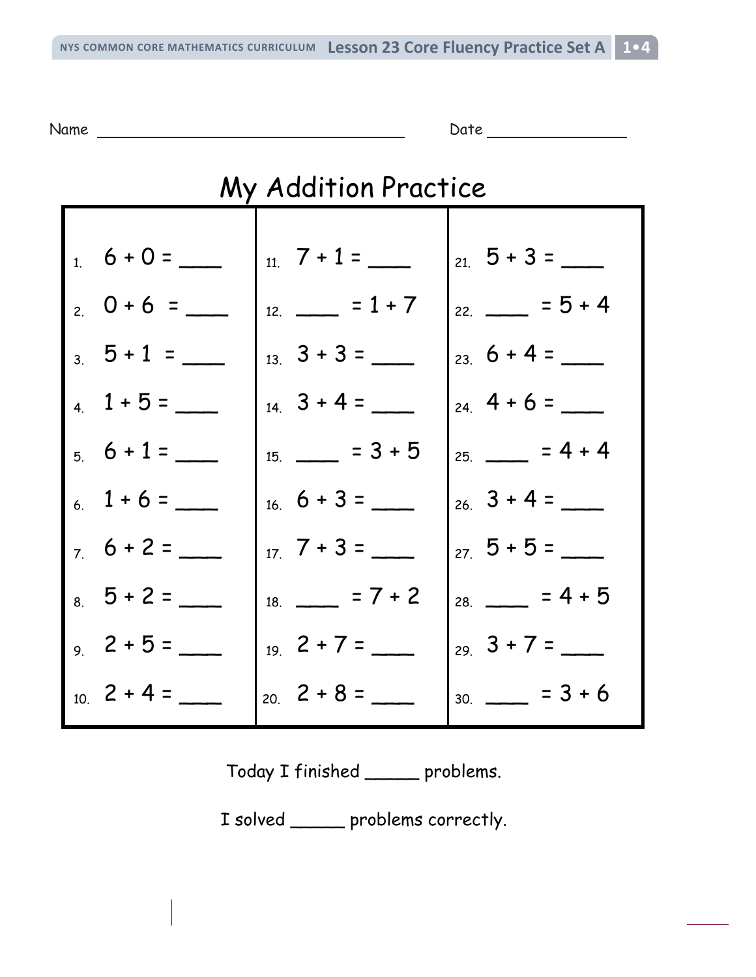Name Date Date Date Date

| My Addition Practice |                                            |                    |  |
|----------------------|--------------------------------------------|--------------------|--|
|                      |                                            |                    |  |
| $1\ 6 + 0 =$         | $11.7 + 1 =$                               | $21\ 5 + 3 =$      |  |
| $20+6 =$             | $12 = 1 + 7$                               | $22 \t= 5 + 4$     |  |
| $3\quad 5 + 1 =$     | $3 + 3 =$                                  | $23\,6+4=$         |  |
| $4\quad 1+5=$        | $14 \quad 3 + 4 =$                         | $24 + 6 =$         |  |
| $5\,6+1=$            | $15. \t= 3 + 5$                            | $25 \t= 4 + 4$     |  |
| $6\quad 1+6=$        | $16.6 + 3 =$                               | $26 \quad 3 + 4 =$ |  |
| $7.6 + 2 =$          | $7 + 3 =$                                  | $27\,5+5=$         |  |
| $8\quad 5 + 2 =$     | $18. \ \_ \ \_ \ \_ \ \_ \ \_ \ \_ \ \_ \$ | $28.$ = 4 + 5      |  |
| $2 + 5 =$            | $19\ 2+7=$                                 | $29.3 + 7 =$       |  |
| $10 \t2 + 4 =$       | $20.2 + 8 =$                               | $30.$ = 3 + 6      |  |

Today I finished \_\_\_\_\_ problems.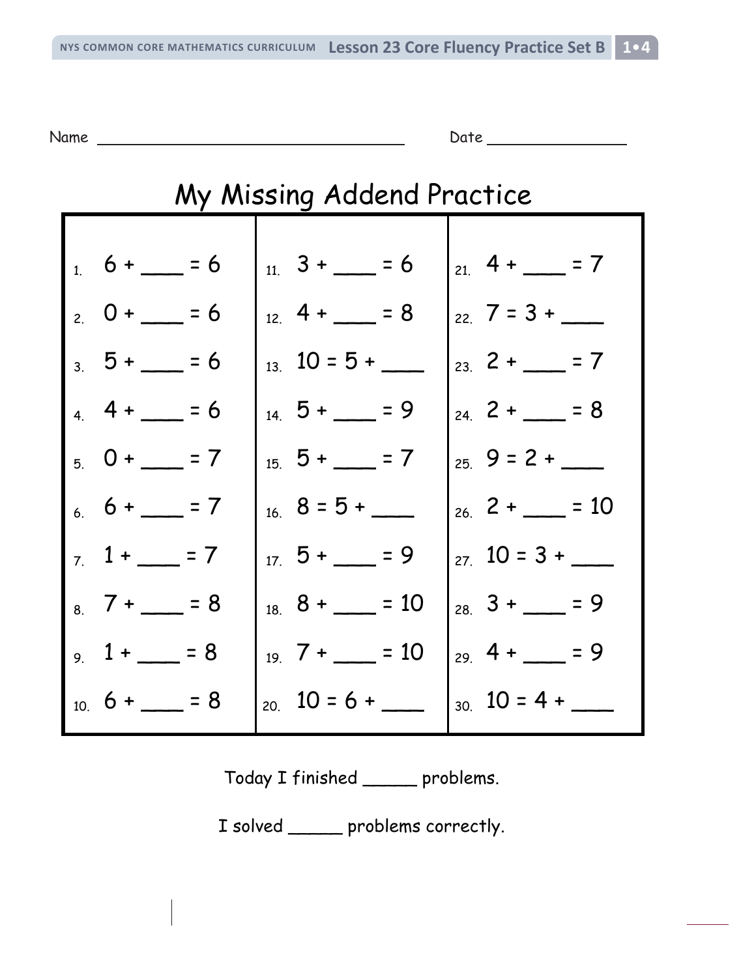Name Date Date Date

| My Missing Addend Practice                     |                         |                                       |  |
|------------------------------------------------|-------------------------|---------------------------------------|--|
| $1.6 + - = 6$                                  | $11 \quad 3 + \quad 56$ | $21.4 + \underline{\hspace{1cm}} = 7$ |  |
| $20 + 56$                                      | $12 \cdot 4 + 58$       | $22\sqrt{7} = 3 +$                    |  |
| $3\,5 + \,= 6$                                 | $13 \quad 10 = 5 +$     | $23 \t2 + 7$                          |  |
| $4 + 56$                                       | $14 \quad 5 + \quad 29$ | $24 = 8$                              |  |
| $50+7$                                         | $15 \t5 + 7$            | $25 \t9 = 2 +$                        |  |
| $6.6 + 7$                                      | $_{16}$ 8 = 5 +         | $26 \t2 + 10$                         |  |
| $7 \t1 + 7$                                    | $17\,5 + \_ = 9$        | $27\quad 10 = 3 +$                    |  |
| $8 \overline{7} + \underline{\phantom{0}} = 8$ | $_{18}$ 8 + $= 10$      | $28 \t3 + 29$                         |  |
| $, 1 + 3 = 8$                                  | $_{19}$ 7 + = 10        | $_{29}$ 4 + = 9                       |  |
| $10.6 + \underline{\hspace{1cm}} = 8$          | $_{20}$ 10 = 6 +        | $_{30}$ 10 = 4 +                      |  |

Today I finished \_\_\_\_\_ problems.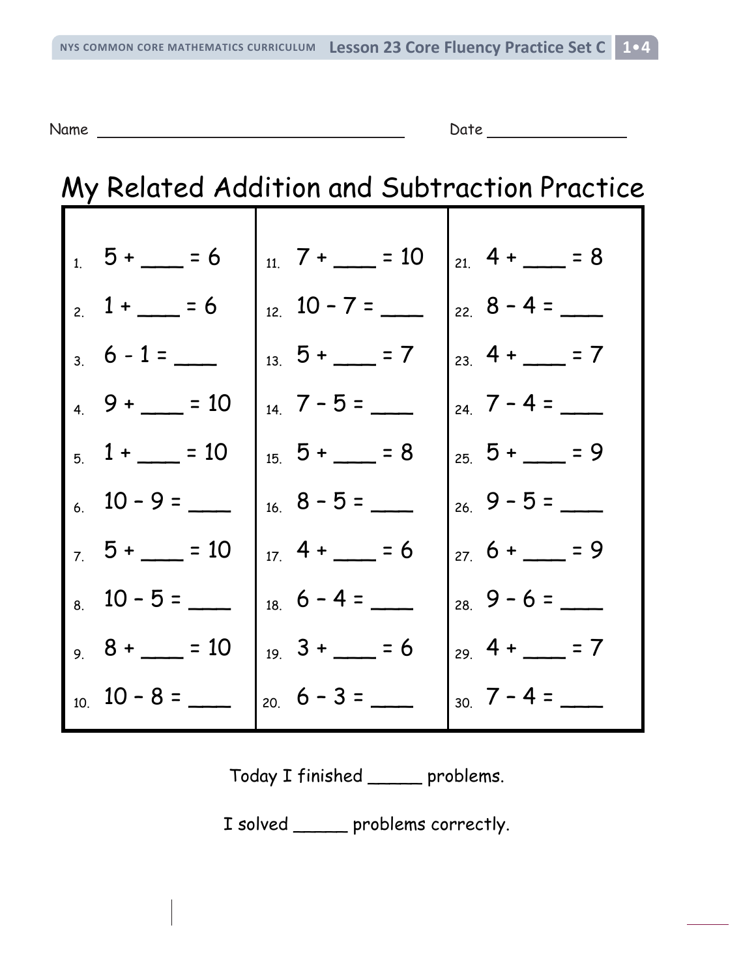Name Date Date Date Date

# My Related Addition and Subtraction Practice

|                | $15 + 56$                             | $11.7 +$ = 10   | $21.4 + - = 8$      |
|----------------|---------------------------------------|-----------------|---------------------|
| $\overline{z}$ | $1 + 56$                              | $12 \t10 - 7 =$ | $22.8 - 4 =$        |
|                | $3\ 6 - 1 =$                          | $13.5 +$ = 7    | $23 \, 4 + 7$       |
|                | $49 + 10$                             | $14$ 7 – 5 =    | $_{24}$ 7 – 4 =     |
| $\overline{5}$ | $1 + 10$                              | $15.5 + - = 8$  | $25, 5 + 5$         |
|                | $10 - 9 =$                            |                 | $26.9 - 5 =$        |
|                | $7.5 + \underline{\hspace{1cm}} = 10$ | $17.4 + - 56$   | $27.6 + -29$        |
|                | $10 - 5 =$                            | $18.6 - 4 =$    | $28.9 - 6 =$        |
|                | $8 + 10$                              | $19 \t3 + - 5$  | $_{29}$ 4 + $-$ = 7 |
|                | $10.10 - 8 =$                         | $_{20}$ 6 - 3 = | $_{30}$ 7 - 4 =     |

Today I finished \_\_\_\_\_ problems.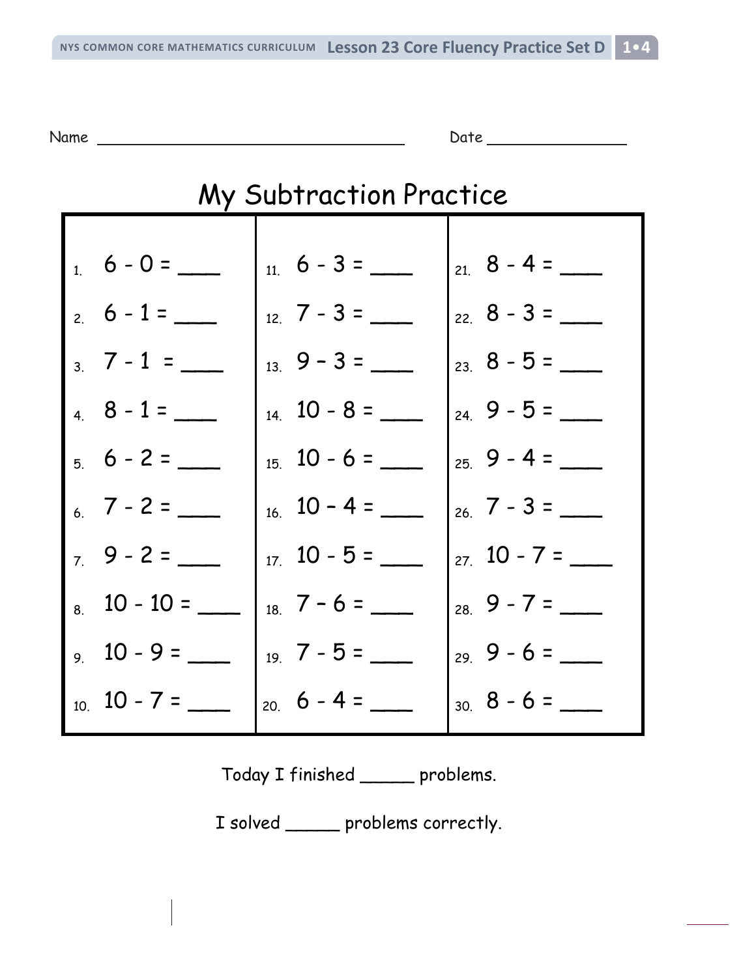Name Date Date Date

| <b>My Subtraction Practice</b> |                     |                     |  |
|--------------------------------|---------------------|---------------------|--|
|                                |                     |                     |  |
| $1.6 - 0 =$                    | $11.6 - 3 =$        |                     |  |
| $2.6 - 1 =$                    | $12.7 - 3 =$        | $_{22}$ 8 - 3 = ___ |  |
| $3 \t7 - 1 =$                  | $13.9 - 3 =$        | $23 \t8 - 5 =$      |  |
| $4.8 - 1 =$                    | $14 \quad 10 - 8 =$ | $24.9 - 5 =$        |  |
| $5.6 - 2 =$                    | $15.10 - 6 =$       | $25.9 - 4 =$        |  |
| $6\quad 7 - 2 =$               | $16. 10 - 4 =$      | $26\,7 - 3 =$       |  |
| $7.9 - 2 =$                    | $17 \quad 10 - 5 =$ | $27 \t10 - 7 =$     |  |
| $8.10 - 10 =$                  | $18.7 - 6 =$        | $28.9 - 7 =$        |  |
| $9.10 - 9 =$                   | $19\,7 - 5 =$       | $29.9 - 6 =$        |  |
| $10.10 - 7 =$                  | $20.6 - 4 =$        | $30.8 - 6 =$        |  |

Today I finished \_\_\_\_\_ problems.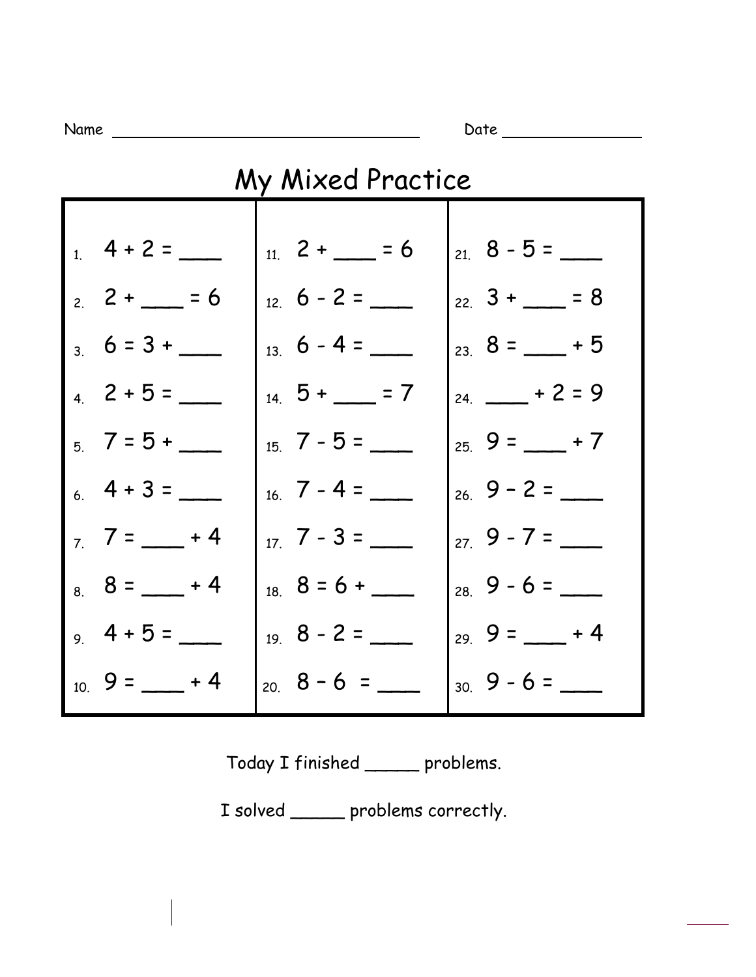Name Date

| My Mixed Practice |                  |                     |  |
|-------------------|------------------|---------------------|--|
| $1\ 4 + 2 =$      | $11 \t2 + 5 = 6$ | $_{21}$ 8 - 5 =     |  |
| $2 + 5 = 6$       | $12\,6 - 2 =$    | $22 \t3 + 2 = 8$    |  |
| $3.6 = 3 +$       | $13\,6 - 4 =$    | $23 \t8 = +5$       |  |
| $4\quad 2+5=$     | $14.5 +$ = 7     | $_{24.}$ + 2 = 9    |  |
| $, 7 = 5 +$       | $15$ 7 - 5 =     | $259 = +7$          |  |
| $6.4 + 3 =$       | $16$ 7 - 4 =     | $26\,9 - 2 =$       |  |
| $7 = 7 + 4$       | $17 - 3 =$       | $279 - 7 =$         |  |
| $8 = 8 - 4$       | $18.8 = 6 +$     | $28\,9-6=$          |  |
| $, 4 + 5 =$       | $198 - 2 =$      | $_{29}$ 9 = $-$ + 4 |  |
| $10.9 =$ $- + 4$  | $20.8 - 6 =$     | $30\quad 9 - 6 =$   |  |

Today I finished \_\_\_\_\_ problems.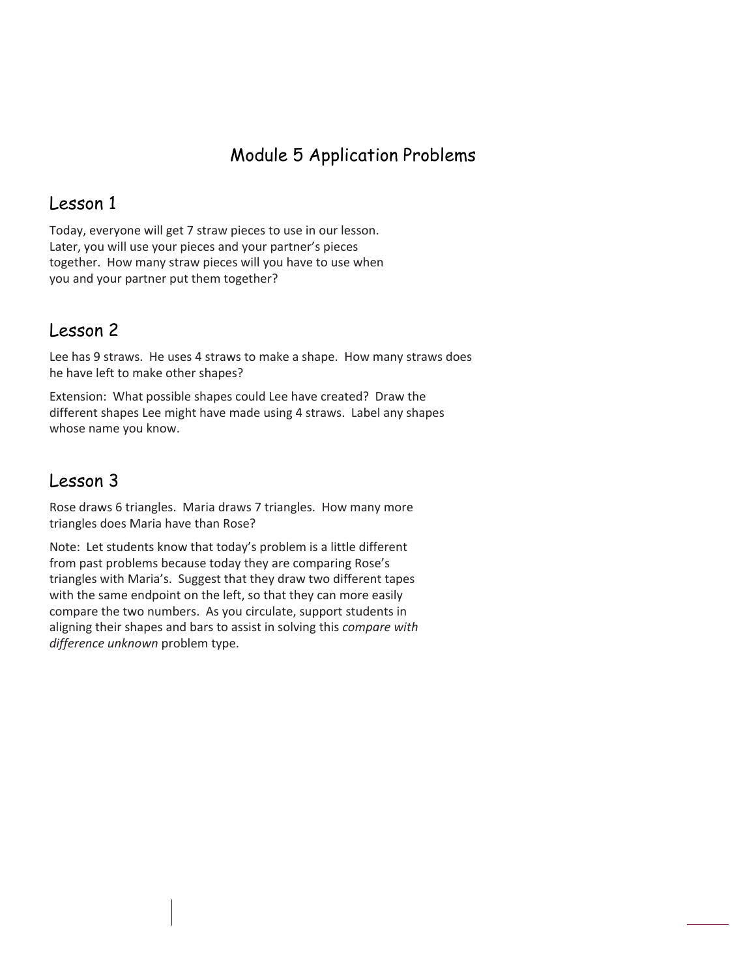## Module 5 Application Problems

### Lesson 1

Today, everyone will get 7 straw pieces to use in our lesson. Later, you will use your pieces and your partner's pieces together. How many straw pieces will you have to use when you and your partner put them together?

## Lesson 2

Lee has 9 straws. He uses 4 straws to make a shape. How many straws does he have left to make other shapes?

Extension: What possible shapes could Lee have created? Draw the different shapes Lee might have made using 4 straws. Label any shapes whose name you know.

## Lesson 3

Rose draws 6 triangles. Maria draws 7 triangles. How many more triangles does Maria have than Rose?

Note: Let students know that today's problem is a little different from past problems because today they are comparing Rose's triangles with Maria's. Suggest that they draw two different tapes with the same endpoint on the left, so that they can more easily compare the two numbers. As you circulate, support students in aligning their shapes and bars to assist in solving this *compare with difference unknown* problem type.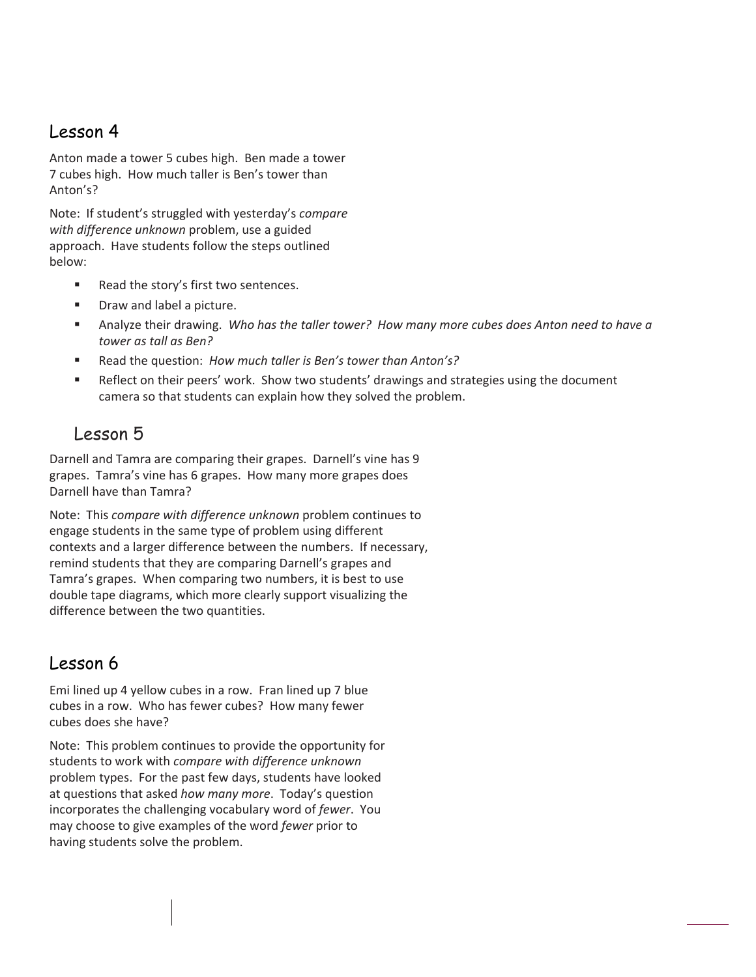## Lesson 4

Anton made a tower 5 cubes high. Ben made a tower 7 cubes high. How much taller is Ben's tower than Anton's?

Note: If student's struggled with yesterday's *compare with difference unknown* problem, use a guided approach. Have students follow the steps outlined below:

- Read the story's first two sentences.
- **•** Draw and label a picture.
- Analyze their drawing. *Who has the taller tower? How many more cubes does Anton need to have a tower as tall as Ben?*
- Read the question: *How much taller is Ben's tower than Anton's?*
- **Reflect on their peers' work. Show two students' drawings and strategies using the document** camera so that students can explain how they solved the problem.

### Lesson 5

Darnell and Tamra are comparing their grapes. Darnell's vine has 9 grapes. Tamra's vine has 6 grapes. How many more grapes does Darnell have than Tamra?

Note: This *compare with difference unknown* problem continues to engage students in the same type of problem using different contexts and a larger difference between the numbers. If necessary, remind students that they are comparing Darnell's grapes and Tamra's grapes. When comparing two numbers, it is best to use double tape diagrams, which more clearly support visualizing the difference between the two quantities.

### Lesson 6

Emi lined up 4 yellow cubes in a row. Fran lined up 7 blue cubes in a row. Who has fewer cubes? How many fewer cubes does she have?

Note: This problem continues to provide the opportunity for students to work with *compare with difference unknown* problem types. For the past few days, students have looked at questions that asked *how many more*. Today's question incorporates the challenging vocabulary word of *fewer*. You may choose to give examples of the word *fewer* prior to having students solve the problem.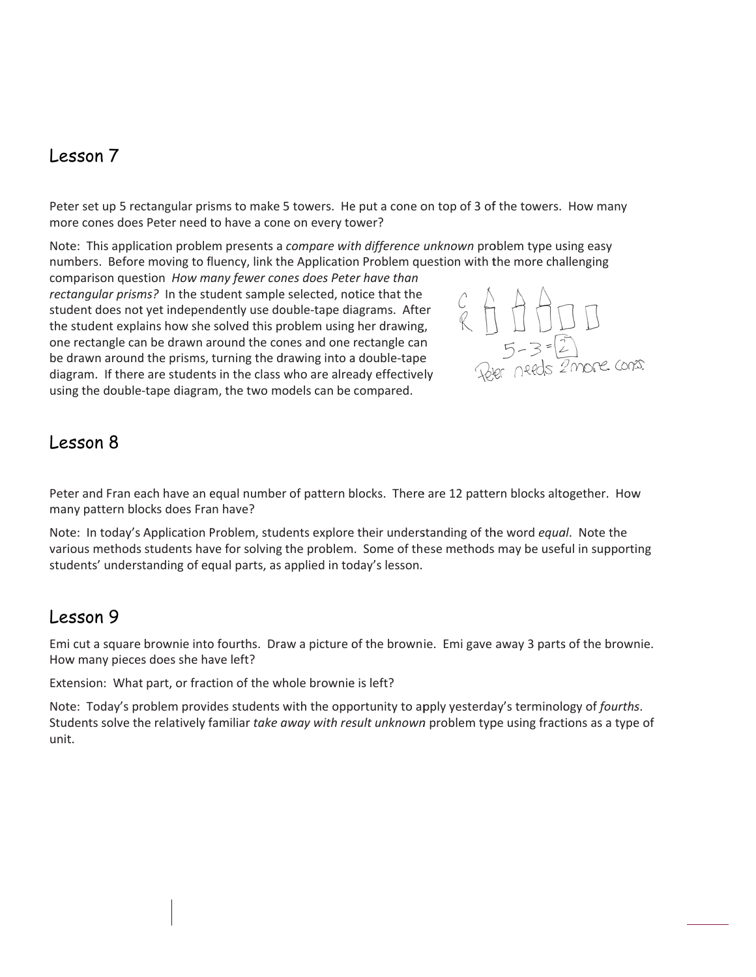#### Les sson 7

Peter set up 5 rectangular prisms to make 5 towers. He put a cone on top of 3 of the towers. How many more cones does Peter need to have a cone on every tower?

Note: This application problem presents a compare with difference unknown problem type using easy numbers. Before moving to fluency, link the Application Problem question with the more challenging

comparison question How many fewer cones does Peter have than rectangular prisms? In the student sample selected, notice that the student does not yet independently use double-tape diagrams. After the student explains how she solved this problem using her drawing, one rectangle can be drawn around the cones and one rectangle can one rectangle can be drawn around the cones and one rectangle can<br>be drawn around the prisms, turning the drawing into a double-tape diagram. If there are students in the class who are already effectively using the double-tape diagram, the two models can be compared.



#### Les sson 8

Peter and Fran each have an equal number of pattern blocks. There are 12 pattern blocks altogether. How many pattern blocks does Fran have?

Note: In today's Application Problem, students explore their understanding of the word equal. Note the Peter and Fran each have an equal number of pattern blocks. There are 12 pattern blocks altogether. How<br>many pattern blocks does Fran have?<br>Note: In today's Application Problem, students explore their understanding of the students' understanding of equal parts, as applied in today's lesson.

## Les sson 9

Emi cut a square brownie into fourths. Draw a picture of the brownie. Emi gave away 3 parts of the brownie. How many pieces does she have left?

Extension: What part, or fraction of the whole brownie is left?

Note: Today's problem provides students with the opportunity to apply yesterday's terminology of *fourths*. Students solve the relatively familiar take away with result unknown problem type using fractions as a type of unit.